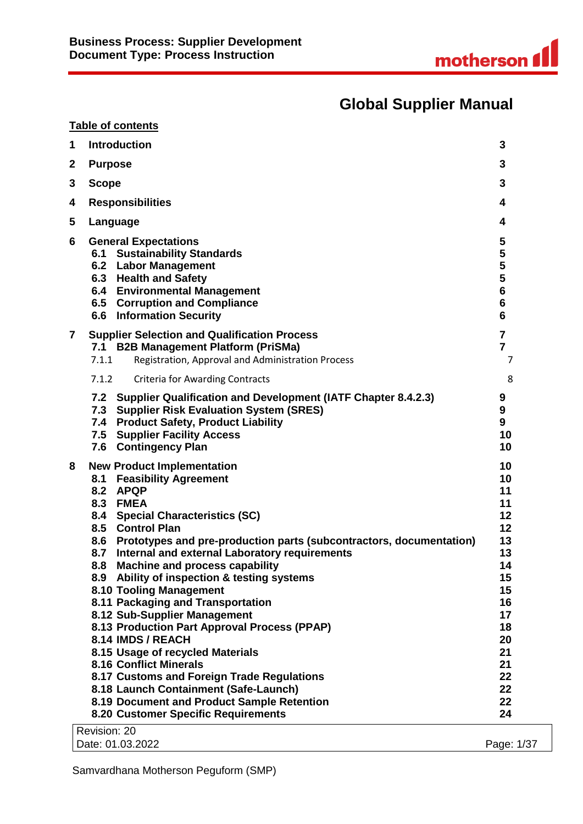# **Global Supplier Manual**

|             | <b>Table of contents</b>                                                                       |                         |
|-------------|------------------------------------------------------------------------------------------------|-------------------------|
| 1           | <b>Introduction</b>                                                                            | 3                       |
| $\mathbf 2$ | <b>Purpose</b>                                                                                 | 3                       |
| 3           | <b>Scope</b>                                                                                   | 3                       |
| 4           | <b>Responsibilities</b>                                                                        | 4                       |
| 5           | Language                                                                                       | 4                       |
|             |                                                                                                |                         |
| 6           | <b>General Expectations</b><br><b>Sustainability Standards</b><br>6.1                          | 5<br>5                  |
|             | <b>Labor Management</b><br>6.2                                                                 | 5                       |
|             | <b>Health and Safety</b><br>6.3                                                                | 5                       |
|             | 6.4 Environmental Management                                                                   | $\bf 6$                 |
|             | 6.5 Corruption and Compliance                                                                  | $6\phantom{1}$          |
|             | <b>6.6 Information Security</b>                                                                | 6                       |
| 7           | <b>Supplier Selection and Qualification Process</b>                                            | $\overline{\mathbf{7}}$ |
|             | 7.1 B2B Management Platform (PriSMa)                                                           | $\overline{7}$          |
|             | Registration, Approval and Administration Process<br>7.1.1                                     | 7                       |
|             | 7.1.2<br><b>Criteria for Awarding Contracts</b>                                                | 8                       |
|             | <b>Supplier Qualification and Development (IATF Chapter 8.4.2.3)</b><br>7.2                    | 9                       |
|             | 7.3 Supplier Risk Evaluation System (SRES)                                                     | 9                       |
|             | 7.4 Product Safety, Product Liability                                                          | 9                       |
|             | <b>Supplier Facility Access</b><br>7.5                                                         | 10                      |
|             | 7.6 Contingency Plan                                                                           | 10                      |
| 8           | <b>New Product Implementation</b>                                                              | 10                      |
|             | <b>Feasibility Agreement</b><br>8.1                                                            | 10                      |
|             | 8.2<br><b>APQP</b>                                                                             | 11                      |
|             | 8.3<br><b>FMEA</b>                                                                             | 11                      |
|             | <b>Special Characteristics (SC)</b><br>8.4                                                     | 12                      |
|             | 8.5<br><b>Control Plan</b>                                                                     | 12                      |
|             | 8.6<br>Prototypes and pre-production parts (subcontractors, documentation)                     | 13                      |
|             | 8.7<br>Internal and external Laboratory requirements                                           | 13                      |
|             | <b>Machine and process capability</b><br>8.8<br>Ability of inspection & testing systems<br>8.9 | 14<br>15                |
|             | 8.10 Tooling Management                                                                        | 15                      |
|             | 8.11 Packaging and Transportation                                                              | 16                      |
|             | 8.12 Sub-Supplier Management                                                                   | 17                      |
|             | 8.13 Production Part Approval Process (PPAP)                                                   | 18                      |
|             | 8.14 IMDS / REACH                                                                              | 20                      |
|             | 8.15 Usage of recycled Materials                                                               | 21                      |
|             | <b>8.16 Conflict Minerals</b>                                                                  | 21                      |
|             | 8.17 Customs and Foreign Trade Regulations                                                     | 22                      |
|             | 8.18 Launch Containment (Safe-Launch)                                                          | 22                      |
|             | 8.19 Document and Product Sample Retention                                                     | 22                      |
|             | 8.20 Customer Specific Requirements                                                            | 24                      |
|             | Revision: 20                                                                                   |                         |
|             | Date: 01.03.2022                                                                               | Page: 1/37              |

Samvardhana Motherson Peguform (SMP)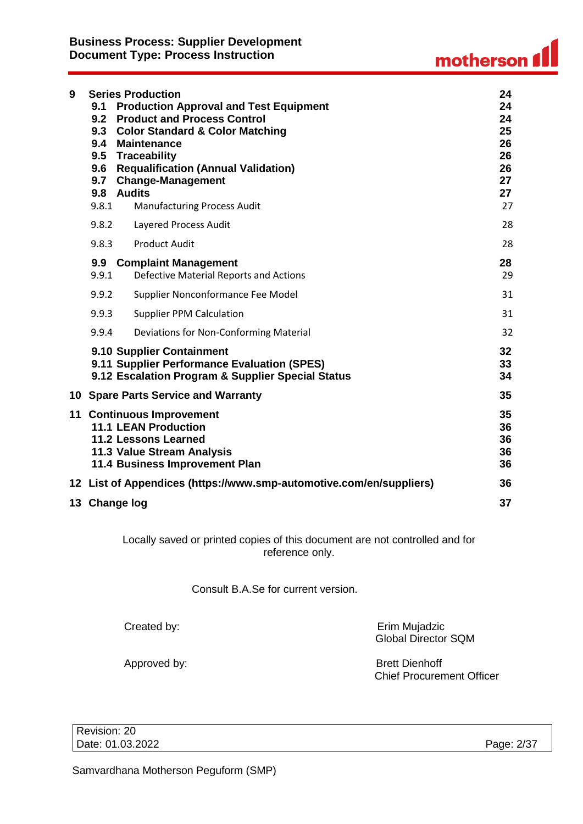| 9 | 9.1<br>9.6<br>9.7<br>9.8.1 | <b>Series Production</b><br><b>Production Approval and Test Equipment</b><br>9.2 Product and Process Control<br>9.3 Color Standard & Color Matching<br>9.4 Maintenance<br>9.5 Traceability<br><b>Requalification (Annual Validation)</b><br><b>Change-Management</b><br>9.8 Audits<br><b>Manufacturing Process Audit</b> | 24<br>24<br>24<br>25<br>26<br>26<br>26<br>27<br>27<br>27 |
|---|----------------------------|--------------------------------------------------------------------------------------------------------------------------------------------------------------------------------------------------------------------------------------------------------------------------------------------------------------------------|----------------------------------------------------------|
|   | 9.8.2                      | Layered Process Audit                                                                                                                                                                                                                                                                                                    | 28                                                       |
|   | 9.8.3                      | <b>Product Audit</b>                                                                                                                                                                                                                                                                                                     | 28                                                       |
|   | 9.9<br>9.9.1               | <b>Complaint Management</b><br><b>Defective Material Reports and Actions</b>                                                                                                                                                                                                                                             | 28<br>29                                                 |
|   | 9.9.2                      | Supplier Nonconformance Fee Model                                                                                                                                                                                                                                                                                        | 31                                                       |
|   | 9.9.3                      | <b>Supplier PPM Calculation</b>                                                                                                                                                                                                                                                                                          | 31                                                       |
|   | 9.9.4                      | Deviations for Non-Conforming Material                                                                                                                                                                                                                                                                                   | 32                                                       |
|   |                            | 9.10 Supplier Containment<br>9.11 Supplier Performance Evaluation (SPES)<br>9.12 Escalation Program & Supplier Special Status                                                                                                                                                                                            | 32<br>33<br>34                                           |
|   |                            | 10 Spare Parts Service and Warranty                                                                                                                                                                                                                                                                                      | 35                                                       |
|   |                            | 11 Continuous Improvement<br><b>11.1 LEAN Production</b><br><b>11.2 Lessons Learned</b><br>11.3 Value Stream Analysis<br>11.4 Business Improvement Plan                                                                                                                                                                  | 35<br>36<br>36<br>36<br>36                               |
|   |                            | 12 List of Appendices (https://www.smp-automotive.com/en/suppliers)                                                                                                                                                                                                                                                      | 36                                                       |
|   |                            | 13 Change log                                                                                                                                                                                                                                                                                                            | 37                                                       |

Locally saved or printed copies of this document are not controlled and for reference only.

Consult B.A.Se for current version.

Created by: Erim Mujadzic Global Director SQM

Approved by: Same Brett Dienhoff Chief Procurement Officer

Revision: 20 Date: 01.03.2022 Page: 2/37

Samvardhana Motherson Peguform (SMP)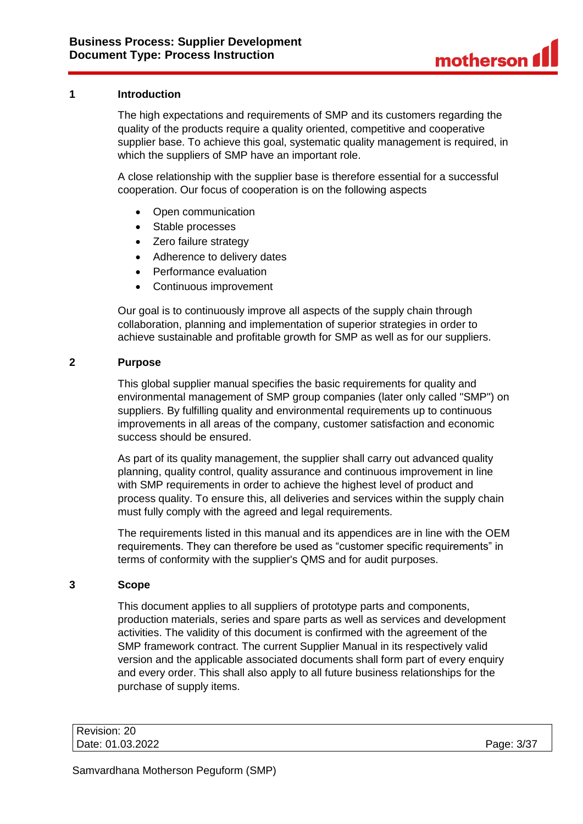### <span id="page-2-0"></span>**1 Introduction**

The high expectations and requirements of SMP and its customers regarding the quality of the products require a quality oriented, competitive and cooperative supplier base. To achieve this goal, systematic quality management is required, in which the suppliers of SMP have an important role.

A close relationship with the supplier base is therefore essential for a successful cooperation. Our focus of cooperation is on the following aspects

- Open communication
- Stable processes
- Zero failure strategy
- Adherence to delivery dates
- Performance evaluation
- Continuous improvement

Our goal is to continuously improve all aspects of the supply chain through collaboration, planning and implementation of superior strategies in order to achieve sustainable and profitable growth for SMP as well as for our suppliers.

### <span id="page-2-1"></span>**2 Purpose**

This global supplier manual specifies the basic requirements for quality and environmental management of SMP group companies (later only called "SMP") on suppliers. By fulfilling quality and environmental requirements up to continuous improvements in all areas of the company, customer satisfaction and economic success should be ensured.

As part of its quality management, the supplier shall carry out advanced quality planning, quality control, quality assurance and continuous improvement in line with SMP requirements in order to achieve the highest level of product and process quality. To ensure this, all deliveries and services within the supply chain must fully comply with the agreed and legal requirements.

The requirements listed in this manual and its appendices are in line with the OEM requirements. They can therefore be used as "customer specific requirements" in terms of conformity with the supplier's QMS and for audit purposes.

### <span id="page-2-2"></span>**3 Scope**

This document applies to all suppliers of prototype parts and components, production materials, series and spare parts as well as services and development activities. The validity of this document is confirmed with the agreement of the SMP framework contract. The current Supplier Manual in its respectively valid version and the applicable associated documents shall form part of every enquiry and every order. This shall also apply to all future business relationships for the purchase of supply items.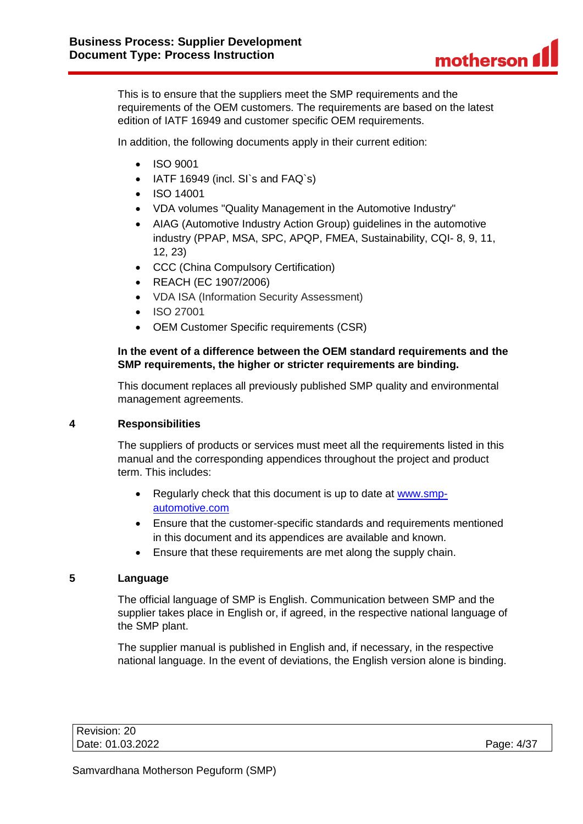This is to ensure that the suppliers meet the SMP requirements and the requirements of the OEM customers. The requirements are based on the latest edition of IATF 16949 and customer specific OEM requirements.

In addition, the following documents apply in their current edition:

- ISO 9001
- IATF 16949 (incl. SI's and FAQ's)
- ISO 14001
- VDA volumes "Quality Management in the Automotive Industry"
- AIAG (Automotive Industry Action Group) guidelines in the automotive industry (PPAP, MSA, SPC, APQP, FMEA, Sustainability, CQI- 8, 9, 11, 12, 23)
- CCC (China Compulsory Certification)
- REACH (EC 1907/2006)
- VDA ISA (Information Security Assessment)
- ISO 27001
- OEM Customer Specific requirements (CSR)

### **In the event of a difference between the OEM standard requirements and the SMP requirements, the higher or stricter requirements are binding.**

This document replaces all previously published SMP quality and environmental management agreements.

### <span id="page-3-0"></span>**4 Responsibilities**

The suppliers of products or services must meet all the requirements listed in this manual and the corresponding appendices throughout the project and product term. This includes:

- Regularly check that this document is up to date at [www.smp](http://www.smp-automotive.com/)[automotive.com](http://www.smp-automotive.com/)
- Ensure that the customer-specific standards and requirements mentioned in this document and its appendices are available and known.
- Ensure that these requirements are met along the supply chain.

### <span id="page-3-1"></span>**5 Language**

The official language of SMP is English. Communication between SMP and the supplier takes place in English or, if agreed, in the respective national language of the SMP plant.

The supplier manual is published in English and, if necessary, in the respective national language. In the event of deviations, the English version alone is binding.

| Revision: 20     |            |
|------------------|------------|
| Date: 01.03.2022 | Page: 4/37 |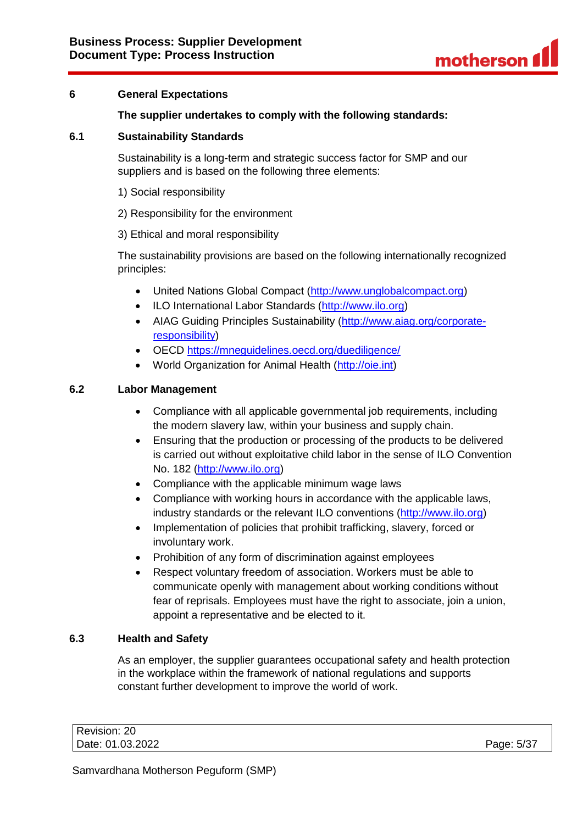

### <span id="page-4-0"></span>**6 General Expectations**

### **The supplier undertakes to comply with the following standards:**

### <span id="page-4-1"></span>**6.1 Sustainability Standards**

Sustainability is a long-term and strategic success factor for SMP and our suppliers and is based on the following three elements:

- 1) Social responsibility
- 2) Responsibility for the environment
- 3) Ethical and moral responsibility

The sustainability provisions are based on the following internationally recognized principles:

- United Nations Global Compact [\(http://www.unglobalcompact.org\)](http://www.unglobalcompact.org/)
- ILO International Labor Standards [\(http://www.ilo.org\)](http://www.ilo.org/)
- AIAG Guiding Principles Sustainability [\(http://www.aiag.org/corporate](http://www.aiag.org/corporate-responsibility)[responsibility\)](http://www.aiag.org/corporate-responsibility)
- OECD<https://mneguidelines.oecd.org/duediligence/>
- World Organization for Animal Health [\(http://oie.int\)](http://oie.int/)

#### <span id="page-4-2"></span>**6.2 Labor Management**

- Compliance with all applicable governmental job requirements, including the modern slavery law, within your business and supply chain.
- Ensuring that the production or processing of the products to be delivered is carried out without exploitative child labor in the sense of ILO Convention No. 182 [\(http://www.ilo.org\)](http://www.ilo.org/)
- Compliance with the applicable minimum wage laws
- Compliance with working hours in accordance with the applicable laws, industry standards or the relevant ILO conventions [\(http://www.ilo.org\)](http://www.ilo.org/)
- Implementation of policies that prohibit trafficking, slavery, forced or involuntary work.
- Prohibition of any form of discrimination against employees
- Respect voluntary freedom of association. Workers must be able to communicate openly with management about working conditions without fear of reprisals. Employees must have the right to associate, join a union, appoint a representative and be elected to it.

### <span id="page-4-3"></span>**6.3 Health and Safety**

As an employer, the supplier guarantees occupational safety and health protection in the workplace within the framework of national regulations and supports constant further development to improve the world of work.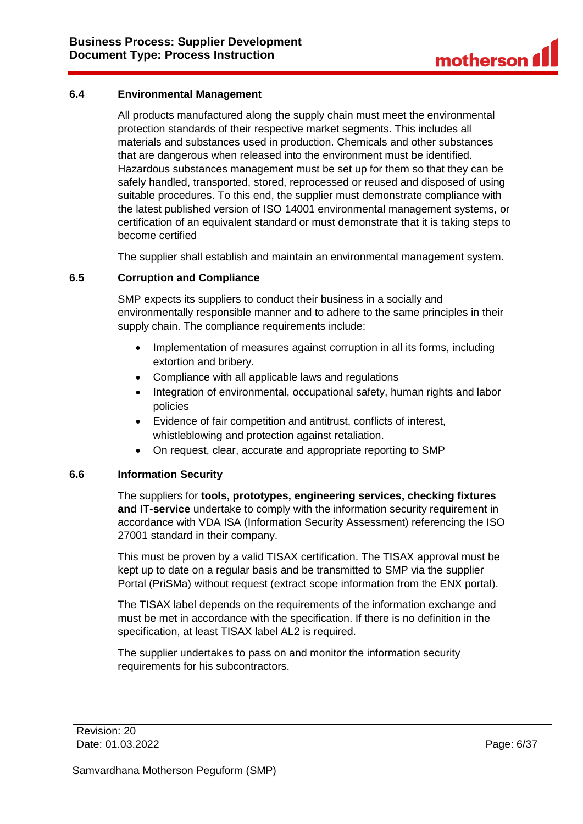### <span id="page-5-0"></span>**6.4 Environmental Management**

All products manufactured along the supply chain must meet the environmental protection standards of their respective market segments. This includes all materials and substances used in production. Chemicals and other substances that are dangerous when released into the environment must be identified. Hazardous substances management must be set up for them so that they can be safely handled, transported, stored, reprocessed or reused and disposed of using suitable procedures. To this end, the supplier must demonstrate compliance with the latest published version of ISO 14001 environmental management systems, or certification of an equivalent standard or must demonstrate that it is taking steps to become certified

The supplier shall establish and maintain an environmental management system.

### <span id="page-5-1"></span>**6.5 Corruption and Compliance**

SMP expects its suppliers to conduct their business in a socially and environmentally responsible manner and to adhere to the same principles in their supply chain. The compliance requirements include:

- Implementation of measures against corruption in all its forms, including extortion and bribery.
- Compliance with all applicable laws and regulations
- Integration of environmental, occupational safety, human rights and labor policies
- Evidence of fair competition and antitrust, conflicts of interest, whistleblowing and protection against retaliation.
- On request, clear, accurate and appropriate reporting to SMP

### <span id="page-5-2"></span>**6.6 Information Security**

The suppliers for **tools, prototypes, engineering services, checking fixtures and IT-service** undertake to comply with the information security requirement in accordance with VDA ISA (Information Security Assessment) referencing the ISO 27001 standard in their company.

This must be proven by a valid TISAX certification. The TISAX approval must be kept up to date on a regular basis and be transmitted to SMP via the supplier Portal (PriSMa) without request (extract scope information from the ENX portal).

The TISAX label depends on the requirements of the information exchange and must be met in accordance with the specification. If there is no definition in the specification, at least TISAX label AL2 is required.

The supplier undertakes to pass on and monitor the information security requirements for his subcontractors.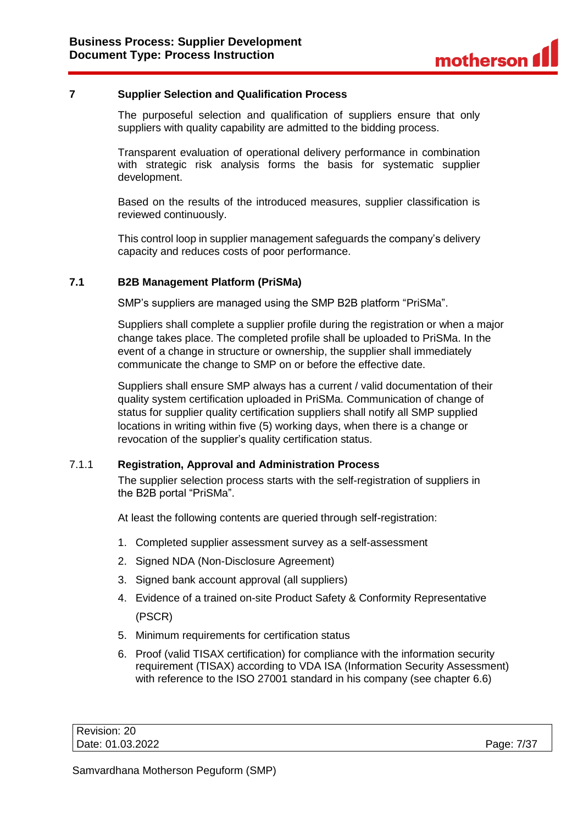### <span id="page-6-0"></span>**7 Supplier Selection and Qualification Process**

The purposeful selection and qualification of suppliers ensure that only suppliers with quality capability are admitted to the bidding process.

Transparent evaluation of operational delivery performance in combination with strategic risk analysis forms the basis for systematic supplier development.

Based on the results of the introduced measures, supplier classification is reviewed continuously.

This control loop in supplier management safeguards the company's delivery capacity and reduces costs of poor performance.

#### <span id="page-6-1"></span>**7.1 B2B Management Platform (PriSMa)**

SMP's suppliers are managed using the SMP B2B platform "PriSMa".

Suppliers shall complete a supplier profile during the registration or when a major change takes place. The completed profile shall be uploaded to PriSMa. In the event of a change in structure or ownership, the supplier shall immediately communicate the change to SMP on or before the effective date.

Suppliers shall ensure SMP always has a current / valid documentation of their quality system certification uploaded in PriSMa. Communication of change of status for supplier quality certification suppliers shall notify all SMP supplied locations in writing within five (5) working days, when there is a change or revocation of the supplier's quality certification status.

#### <span id="page-6-2"></span>7.1.1 **Registration, Approval and Administration Process**

The supplier selection process starts with the self-registration of suppliers in the B2B portal "PriSMa".

At least the following contents are queried through self-registration:

- 1. Completed supplier assessment survey as a self-assessment
- 2. Signed NDA (Non-Disclosure Agreement)
- 3. Signed bank account approval (all suppliers)
- 4. Evidence of a trained on-site Product Safety & Conformity Representative (PSCR)
- 5. Minimum requirements for certification status
- 6. Proof (valid TISAX certification) for compliance with the information security requirement (TISAX) according to VDA ISA (Information Security Assessment) with reference to the ISO 27001 standard in his company (see chapter 6.6)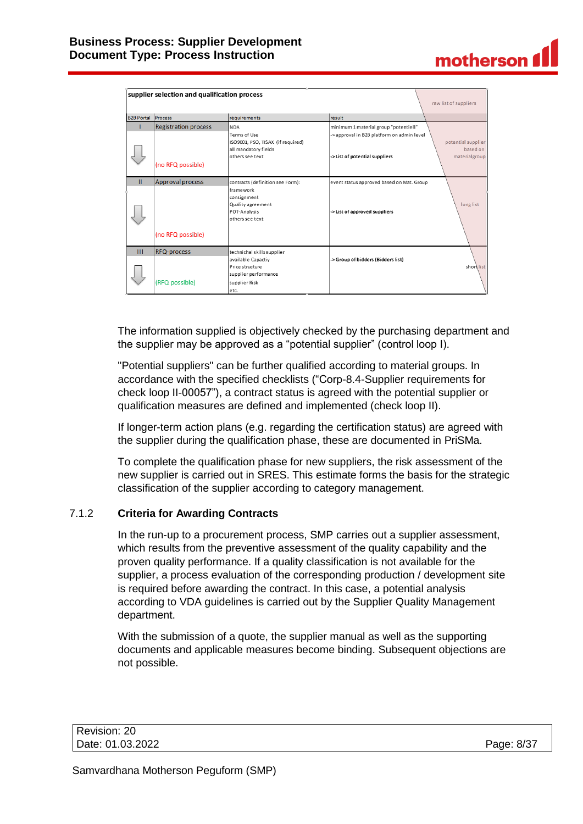|                   | supplier selection and qualification process     |                                                                                                                      |                                                                                                                       |                                                 |
|-------------------|--------------------------------------------------|----------------------------------------------------------------------------------------------------------------------|-----------------------------------------------------------------------------------------------------------------------|-------------------------------------------------|
|                   |                                                  |                                                                                                                      |                                                                                                                       | raw list of suppliers                           |
| <b>B2B Portal</b> | Process                                          | requirements                                                                                                         | result                                                                                                                |                                                 |
|                   | <b>Registration process</b><br>(no RFQ possible) | <b>NDA</b><br>Terms of Use<br>ISO9001, PSO, TISAX (if required)<br>all mandatory fields<br>others see text           | minimum 1 material group "potentiell"<br>-> approval in B2B platform on admin level<br>-> List of potential suppliers | potential supplier<br>based on<br>materialgroup |
| Ш                 | Approval process                                 | contracts (definition see Form):<br>framework<br>consignment<br>Quality agreement<br>POT-Analysis<br>others see text | event status approved based on Mat. Group<br>-> List of approved suppliers                                            | long list                                       |
|                   | (no RFQ possible)                                |                                                                                                                      |                                                                                                                       |                                                 |
| Ш                 | RFQ-process                                      | technichal skills supplier<br>available Capactiy<br>Price structure                                                  | -> Group of bidders (Bidders list)                                                                                    | short list                                      |
|                   | (RFQ possible)                                   | supplier performance<br>supplier Risk<br>letc.                                                                       |                                                                                                                       |                                                 |

The information supplied is objectively checked by the purchasing department and the supplier may be approved as a "potential supplier" (control loop I).

"Potential suppliers" can be further qualified according to material groups. In accordance with the specified checklists ("Corp-8.4-Supplier requirements for check loop II-00057"), a contract status is agreed with the potential supplier or qualification measures are defined and implemented (check loop II).

If longer-term action plans (e.g. regarding the certification status) are agreed with the supplier during the qualification phase, these are documented in PriSMa.

To complete the qualification phase for new suppliers, the risk assessment of the new supplier is carried out in SRES. This estimate forms the basis for the strategic classification of the supplier according to category management.

### <span id="page-7-0"></span>7.1.2 **Criteria for Awarding Contracts**

In the run-up to a procurement process, SMP carries out a supplier assessment, which results from the preventive assessment of the quality capability and the proven quality performance. If a quality classification is not available for the supplier, a process evaluation of the corresponding production / development site is required before awarding the contract. In this case, a potential analysis according to VDA guidelines is carried out by the Supplier Quality Management department.

With the submission of a quote, the supplier manual as well as the supporting documents and applicable measures become binding. Subsequent objections are not possible.

motherson f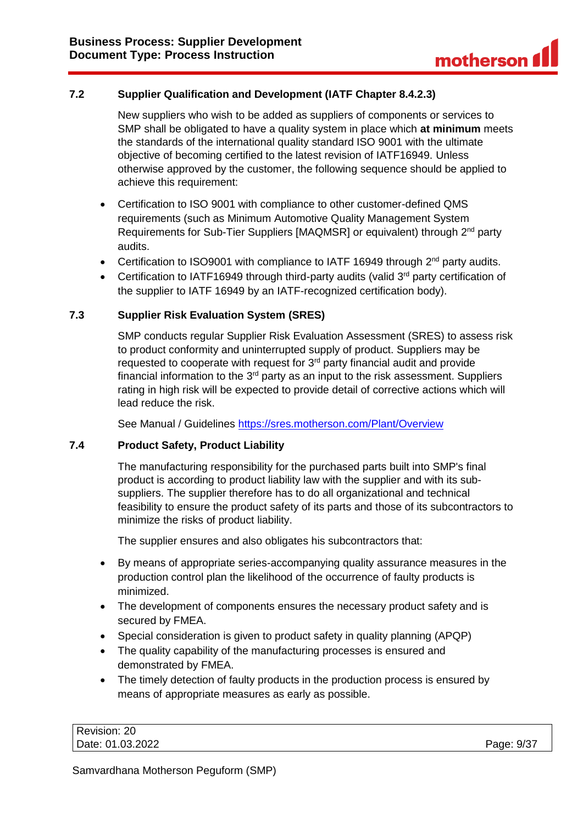# <span id="page-8-0"></span>**7.2 Supplier Qualification and Development (IATF Chapter 8.4.2.3)**

New suppliers who wish to be added as suppliers of components or services to SMP shall be obligated to have a quality system in place which **at minimum** meets the standards of the international quality standard ISO 9001 with the ultimate objective of becoming certified to the latest revision of IATF16949. Unless otherwise approved by the customer, the following sequence should be applied to achieve this requirement:

- Certification to ISO 9001 with compliance to other customer-defined QMS requirements (such as Minimum Automotive Quality Management System Requirements for Sub-Tier Suppliers [MAQMSR] or equivalent) through 2<sup>nd</sup> party audits.
- Certification to ISO9001 with compliance to IATF 16949 through  $2^{nd}$  party audits.
- Certification to IATF16949 through third-party audits (valid 3<sup>rd</sup> party certification of the supplier to IATF 16949 by an IATF-recognized certification body).

### <span id="page-8-1"></span>**7.3 Supplier Risk Evaluation System (SRES)**

SMP conducts regular Supplier Risk Evaluation Assessment (SRES) to assess risk to product conformity and uninterrupted supply of product. Suppliers may be requested to cooperate with request for  $3<sup>rd</sup>$  party financial audit and provide financial information to the  $3<sup>rd</sup>$  party as an input to the risk assessment. Suppliers rating in high risk will be expected to provide detail of corrective actions which will lead reduce the risk.

See Manual / Guidelines<https://sres.motherson.com/Plant/Overview>

### <span id="page-8-2"></span>**7.4 Product Safety, Product Liability**

The manufacturing responsibility for the purchased parts built into SMP's final product is according to product liability law with the supplier and with its subsuppliers. The supplier therefore has to do all organizational and technical feasibility to ensure the product safety of its parts and those of its subcontractors to minimize the risks of product liability.

The supplier ensures and also obligates his subcontractors that:

- By means of appropriate series-accompanying quality assurance measures in the production control plan the likelihood of the occurrence of faulty products is minimized.
- The development of components ensures the necessary product safety and is secured by FMEA.
- Special consideration is given to product safety in quality planning (APQP)
- The quality capability of the manufacturing processes is ensured and demonstrated by FMEA.
- The timely detection of faulty products in the production process is ensured by means of appropriate measures as early as possible.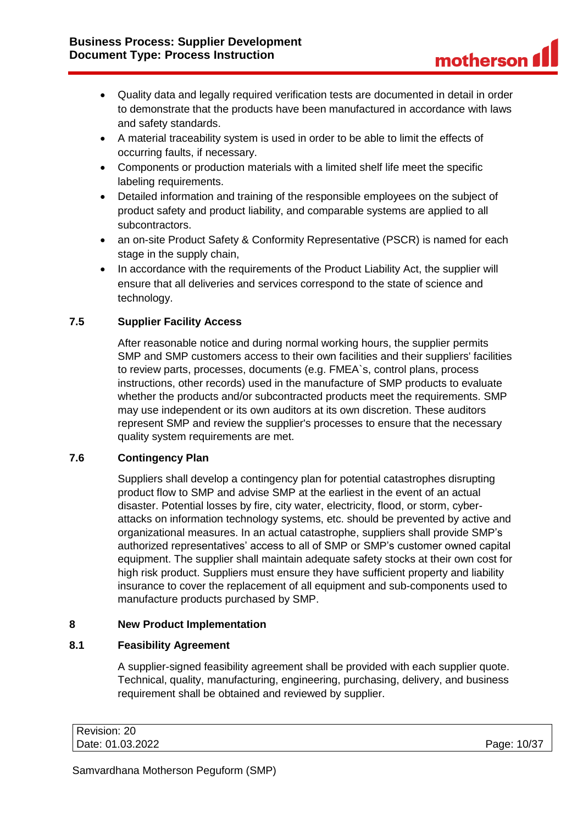- Quality data and legally required verification tests are documented in detail in order to demonstrate that the products have been manufactured in accordance with laws and safety standards.
- A material traceability system is used in order to be able to limit the effects of occurring faults, if necessary.
- Components or production materials with a limited shelf life meet the specific labeling requirements.
- Detailed information and training of the responsible employees on the subject of product safety and product liability, and comparable systems are applied to all subcontractors.
- an on-site Product Safety & Conformity Representative (PSCR) is named for each stage in the supply chain,
- In accordance with the requirements of the Product Liability Act, the supplier will ensure that all deliveries and services correspond to the state of science and technology.

# <span id="page-9-0"></span>**7.5 Supplier Facility Access**

After reasonable notice and during normal working hours, the supplier permits SMP and SMP customers access to their own facilities and their suppliers' facilities to review parts, processes, documents (e.g. FMEA`s, control plans, process instructions, other records) used in the manufacture of SMP products to evaluate whether the products and/or subcontracted products meet the requirements. SMP may use independent or its own auditors at its own discretion. These auditors represent SMP and review the supplier's processes to ensure that the necessary quality system requirements are met.

### <span id="page-9-1"></span>**7.6 Contingency Plan**

Suppliers shall develop a contingency plan for potential catastrophes disrupting product flow to SMP and advise SMP at the earliest in the event of an actual disaster. Potential losses by fire, city water, electricity, flood, or storm, cyberattacks on information technology systems, etc. should be prevented by active and organizational measures. In an actual catastrophe, suppliers shall provide SMP's authorized representatives' access to all of SMP or SMP's customer owned capital equipment. The supplier shall maintain adequate safety stocks at their own cost for high risk product. Suppliers must ensure they have sufficient property and liability insurance to cover the replacement of all equipment and sub-components used to manufacture products purchased by SMP.

### <span id="page-9-2"></span>**8 New Product Implementation**

# <span id="page-9-3"></span>**8.1 Feasibility Agreement**

A supplier-signed feasibility agreement shall be provided with each supplier quote. Technical, quality, manufacturing, engineering, purchasing, delivery, and business requirement shall be obtained and reviewed by supplier.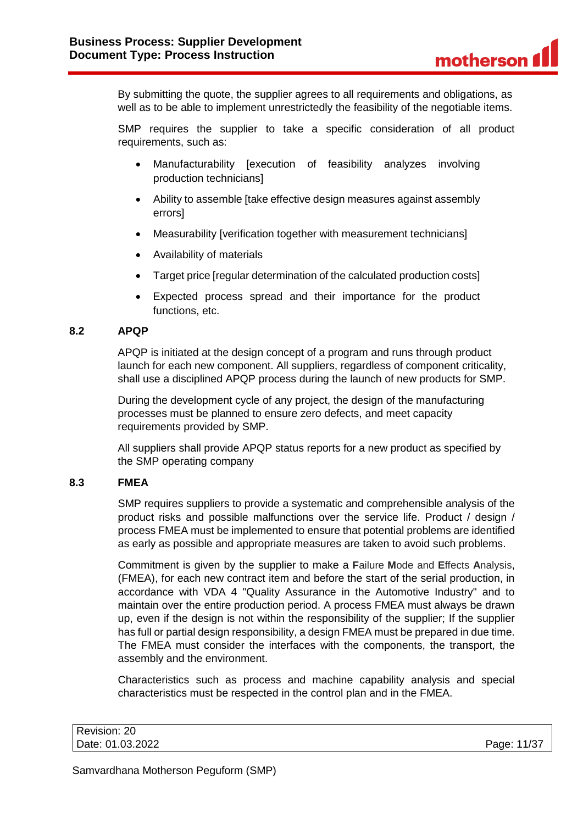By submitting the quote, the supplier agrees to all requirements and obligations, as well as to be able to implement unrestrictedly the feasibility of the negotiable items.

SMP requires the supplier to take a specific consideration of all product requirements, such as:

- Manufacturability [execution of feasibility analyzes involving production technicians]
- Ability to assemble Itake effective design measures against assembly errors]
- Measurability [verification together with measurement technicians]
- Availability of materials
- Target price [regular determination of the calculated production costs]
- Expected process spread and their importance for the product functions, etc.

### <span id="page-10-0"></span>**8.2 APQP**

APQP is initiated at the design concept of a program and runs through product launch for each new component. All suppliers, regardless of component criticality, shall use a disciplined APQP process during the launch of new products for SMP.

During the development cycle of any project, the design of the manufacturing processes must be planned to ensure zero defects, and meet capacity requirements provided by SMP.

All suppliers shall provide APQP status reports for a new product as specified by the SMP operating company

### <span id="page-10-1"></span>**8.3 FMEA**

SMP requires suppliers to provide a systematic and comprehensible analysis of the product risks and possible malfunctions over the service life. Product / design / process FMEA must be implemented to ensure that potential problems are identified as early as possible and appropriate measures are taken to avoid such problems.

Commitment is given by the supplier to make a **F**ailure **M**ode and **E**ffects **A**nalysis, (FMEA), for each new contract item and before the start of the serial production, in accordance with VDA 4 "Quality Assurance in the Automotive Industry" and to maintain over the entire production period. A process FMEA must always be drawn up, even if the design is not within the responsibility of the supplier; If the supplier has full or partial design responsibility, a design FMEA must be prepared in due time. The FMEA must consider the interfaces with the components, the transport, the assembly and the environment.

Characteristics such as process and machine capability analysis and special characteristics must be respected in the control plan and in the FMEA.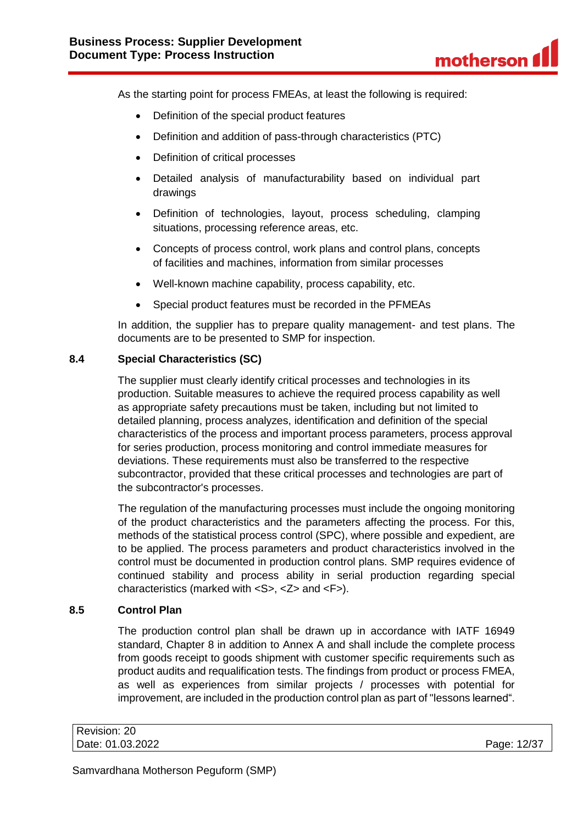As the starting point for process FMEAs, at least the following is required:

- Definition of the special product features
- Definition and addition of pass-through characteristics (PTC)
- Definition of critical processes
- Detailed analysis of manufacturability based on individual part drawings
- Definition of technologies, layout, process scheduling, clamping situations, processing reference areas, etc.
- Concepts of process control, work plans and control plans, concepts of facilities and machines, information from similar processes
- Well-known machine capability, process capability, etc.
- Special product features must be recorded in the PFMEAs

In addition, the supplier has to prepare quality management- and test plans. The documents are to be presented to SMP for inspection.

### <span id="page-11-0"></span>**8.4 Special Characteristics (SC)**

The supplier must clearly identify critical processes and technologies in its production. Suitable measures to achieve the required process capability as well as appropriate safety precautions must be taken, including but not limited to detailed planning, process analyzes, identification and definition of the special characteristics of the process and important process parameters, process approval for series production, process monitoring and control immediate measures for deviations. These requirements must also be transferred to the respective subcontractor, provided that these critical processes and technologies are part of the subcontractor's processes.

The regulation of the manufacturing processes must include the ongoing monitoring of the product characteristics and the parameters affecting the process. For this, methods of the statistical process control (SPC), where possible and expedient, are to be applied. The process parameters and product characteristics involved in the control must be documented in production control plans. SMP requires evidence of continued stability and process ability in serial production regarding special characteristics (marked with <S>, <Z> and <F>).

#### <span id="page-11-1"></span>**8.5 Control Plan**

The production control plan shall be drawn up in accordance with IATF 16949 standard, Chapter 8 in addition to Annex A and shall include the complete process from goods receipt to goods shipment with customer specific requirements such as product audits and requalification tests. The findings from product or process FMEA, as well as experiences from similar projects / processes with potential for improvement, are included in the production control plan as part of "lessons learned".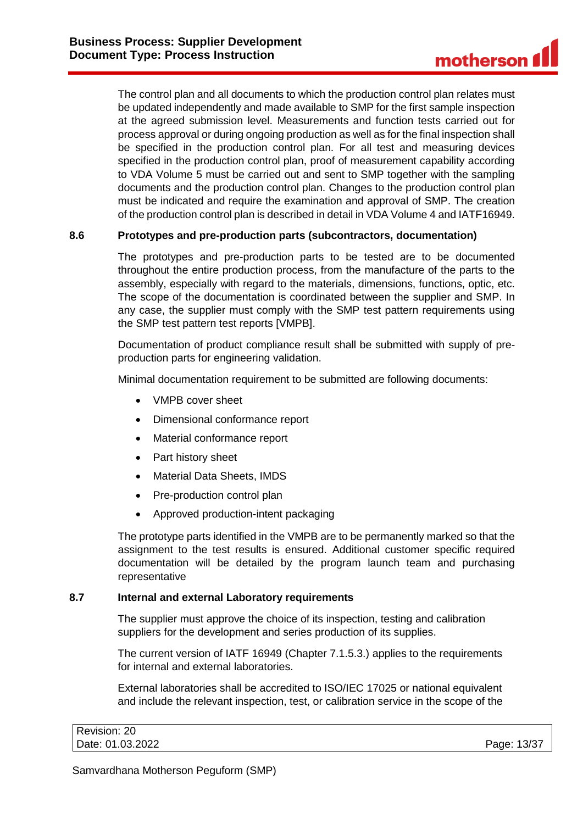The control plan and all documents to which the production control plan relates must be updated independently and made available to SMP for the first sample inspection at the agreed submission level. Measurements and function tests carried out for process approval or during ongoing production as well as for the final inspection shall be specified in the production control plan. For all test and measuring devices specified in the production control plan, proof of measurement capability according to VDA Volume 5 must be carried out and sent to SMP together with the sampling documents and the production control plan. Changes to the production control plan must be indicated and require the examination and approval of SMP. The creation of the production control plan is described in detail in VDA Volume 4 and IATF16949.

### <span id="page-12-0"></span>**8.6 Prototypes and pre-production parts (subcontractors, documentation)**

The prototypes and pre-production parts to be tested are to be documented throughout the entire production process, from the manufacture of the parts to the assembly, especially with regard to the materials, dimensions, functions, optic, etc. The scope of the documentation is coordinated between the supplier and SMP. In any case, the supplier must comply with the SMP test pattern requirements using the SMP test pattern test reports [VMPB].

Documentation of product compliance result shall be submitted with supply of preproduction parts for engineering validation.

Minimal documentation requirement to be submitted are following documents:

- VMPB cover sheet
- Dimensional conformance report
- Material conformance report
- Part history sheet
- Material Data Sheets, IMDS
- Pre-production control plan
- Approved production-intent packaging

The prototype parts identified in the VMPB are to be permanently marked so that the assignment to the test results is ensured. Additional customer specific required documentation will be detailed by the program launch team and purchasing representative

### <span id="page-12-1"></span>**8.7 Internal and external Laboratory requirements**

The supplier must approve the choice of its inspection, testing and calibration suppliers for the development and series production of its supplies.

The current version of IATF 16949 (Chapter 7.1.5.3.) applies to the requirements for internal and external laboratories.

External laboratories shall be accredited to ISO/IEC 17025 or national equivalent and include the relevant inspection, test, or calibration service in the scope of the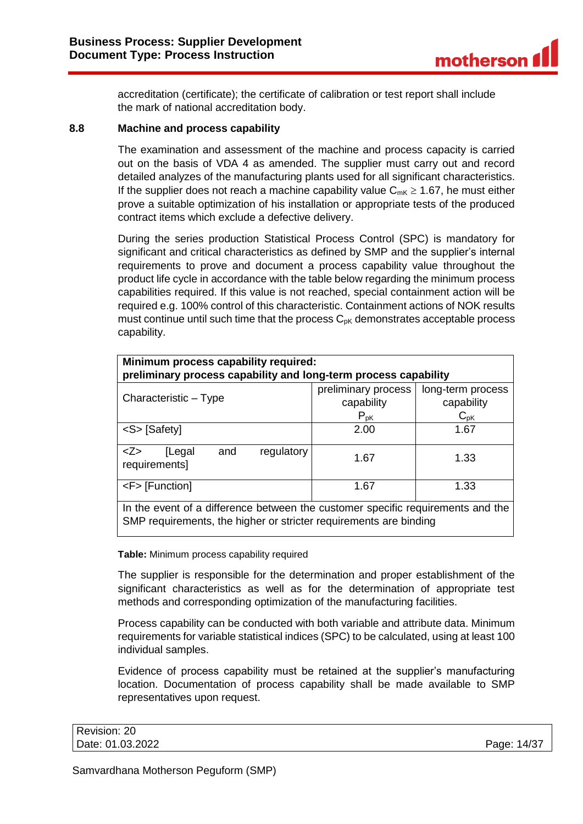accreditation (certificate); the certificate of calibration or test report shall include the mark of national accreditation body.

#### <span id="page-13-0"></span>**8.8 Machine and process capability**

The examination and assessment of the machine and process capacity is carried out on the basis of VDA 4 as amended. The supplier must carry out and record detailed analyzes of the manufacturing plants used for all significant characteristics. If the supplier does not reach a machine capability value  $C_{mK} \ge 1.67$ , he must either prove a suitable optimization of his installation or appropriate tests of the produced contract items which exclude a defective delivery.

During the series production Statistical Process Control (SPC) is mandatory for significant and critical characteristics as defined by SMP and the supplier's internal requirements to prove and document a process capability value throughout the product life cycle in accordance with the table below regarding the minimum process capabilities required. If this value is not reached, special containment action will be required e.g. 100% control of this characteristic. Containment actions of NOK results must continue until such time that the process  $C_{pK}$  demonstrates acceptable process capability.

| Minimum process capability required:<br>preliminary process capability and long-term process capability                                              |                                               |                                             |  |
|------------------------------------------------------------------------------------------------------------------------------------------------------|-----------------------------------------------|---------------------------------------------|--|
| Characteristic - Type                                                                                                                                | preliminary process<br>capability<br>$P_{pK}$ | long-term process<br>capability<br>$C_{pK}$ |  |
| <s> [Safety]</s>                                                                                                                                     | 2.00                                          | 1.67                                        |  |
| Z><br>regulatory<br>[Legal<br>and<br>requirements]                                                                                                   | 1.67                                          | 1.33                                        |  |
| <f> [Function]<br/>1.67<br/>1.33</f>                                                                                                                 |                                               |                                             |  |
| In the event of a difference between the customer specific requirements and the<br>SMP requirements, the higher or stricter requirements are binding |                                               |                                             |  |

#### **Table:** Minimum process capability required

The supplier is responsible for the determination and proper establishment of the significant characteristics as well as for the determination of appropriate test methods and corresponding optimization of the manufacturing facilities.

Process capability can be conducted with both variable and attribute data. Minimum requirements for variable statistical indices (SPC) to be calculated, using at least 100 individual samples.

Evidence of process capability must be retained at the supplier's manufacturing location. Documentation of process capability shall be made available to SMP representatives upon request.

| Revision: 20     |             |
|------------------|-------------|
| Date: 01.03.2022 | Page: 14/37 |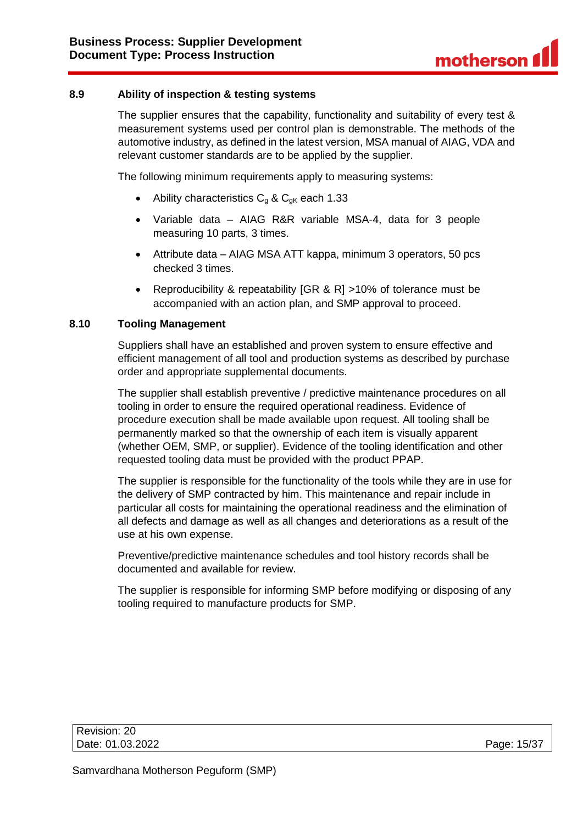### <span id="page-14-0"></span>**8.9 Ability of inspection & testing systems**

The supplier ensures that the capability, functionality and suitability of every test & measurement systems used per control plan is demonstrable. The methods of the automotive industry, as defined in the latest version, MSA manual of AIAG, VDA and relevant customer standards are to be applied by the supplier.

The following minimum requirements apply to measuring systems:

- Ability characteristics  $C_q$  &  $C_{qK}$  each 1.33
- Variable data AIAG R&R variable MSA-4, data for 3 people measuring 10 parts, 3 times.
- Attribute data AIAG MSA ATT kappa, minimum 3 operators, 50 pcs checked 3 times.
- Reproducibility & repeatability [GR & R] >10% of tolerance must be accompanied with an action plan, and SMP approval to proceed.

#### <span id="page-14-1"></span>**8.10 Tooling Management**

Suppliers shall have an established and proven system to ensure effective and efficient management of all tool and production systems as described by purchase order and appropriate supplemental documents.

The supplier shall establish preventive / predictive maintenance procedures on all tooling in order to ensure the required operational readiness. Evidence of procedure execution shall be made available upon request. All tooling shall be permanently marked so that the ownership of each item is visually apparent (whether OEM, SMP, or supplier). Evidence of the tooling identification and other requested tooling data must be provided with the product PPAP.

The supplier is responsible for the functionality of the tools while they are in use for the delivery of SMP contracted by him. This maintenance and repair include in particular all costs for maintaining the operational readiness and the elimination of all defects and damage as well as all changes and deteriorations as a result of the use at his own expense.

Preventive/predictive maintenance schedules and tool history records shall be documented and available for review.

The supplier is responsible for informing SMP before modifying or disposing of any tooling required to manufacture products for SMP.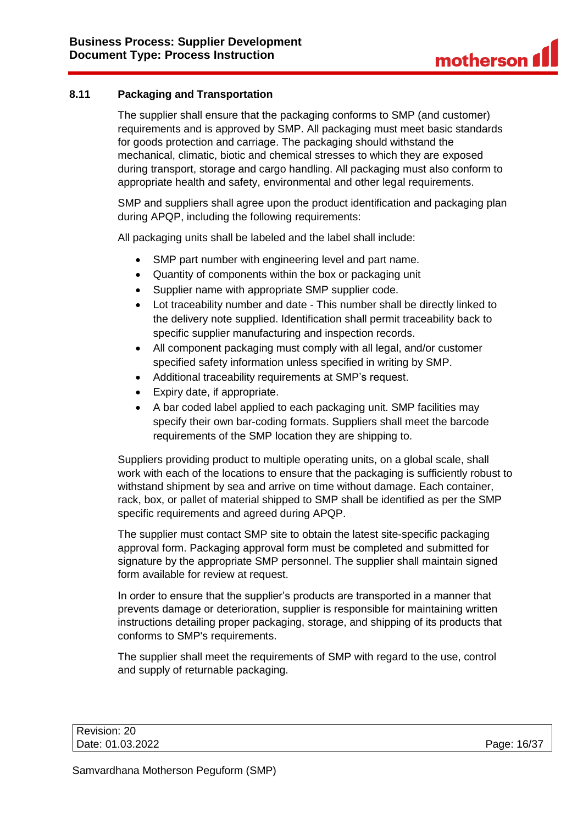# <span id="page-15-0"></span>**8.11 Packaging and Transportation**

The supplier shall ensure that the packaging conforms to SMP (and customer) requirements and is approved by SMP. All packaging must meet basic standards for goods protection and carriage. The packaging should withstand the mechanical, climatic, biotic and chemical stresses to which they are exposed during transport, storage and cargo handling. All packaging must also conform to appropriate health and safety, environmental and other legal requirements.

SMP and suppliers shall agree upon the product identification and packaging plan during APQP, including the following requirements:

All packaging units shall be labeled and the label shall include:

- SMP part number with engineering level and part name.
- Quantity of components within the box or packaging unit
- Supplier name with appropriate SMP supplier code.
- Lot traceability number and date This number shall be directly linked to the delivery note supplied. Identification shall permit traceability back to specific supplier manufacturing and inspection records.
- All component packaging must comply with all legal, and/or customer specified safety information unless specified in writing by SMP.
- Additional traceability requirements at SMP's request.
- Expiry date, if appropriate.
- A bar coded label applied to each packaging unit. SMP facilities may specify their own bar-coding formats. Suppliers shall meet the barcode requirements of the SMP location they are shipping to.

Suppliers providing product to multiple operating units, on a global scale, shall work with each of the locations to ensure that the packaging is sufficiently robust to withstand shipment by sea and arrive on time without damage. Each container, rack, box, or pallet of material shipped to SMP shall be identified as per the SMP specific requirements and agreed during APQP.

The supplier must contact SMP site to obtain the latest site-specific packaging approval form. Packaging approval form must be completed and submitted for signature by the appropriate SMP personnel. The supplier shall maintain signed form available for review at request.

In order to ensure that the supplier's products are transported in a manner that prevents damage or deterioration, supplier is responsible for maintaining written instructions detailing proper packaging, storage, and shipping of its products that conforms to SMP's requirements.

The supplier shall meet the requirements of SMP with regard to the use, control and supply of returnable packaging.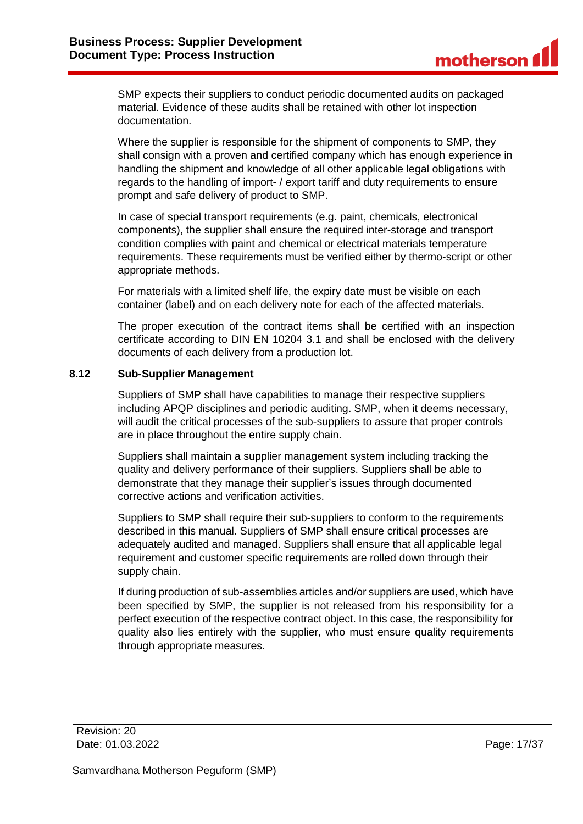SMP expects their suppliers to conduct periodic documented audits on packaged material. Evidence of these audits shall be retained with other lot inspection documentation.

Where the supplier is responsible for the shipment of components to SMP, they shall consign with a proven and certified company which has enough experience in handling the shipment and knowledge of all other applicable legal obligations with regards to the handling of import- / export tariff and duty requirements to ensure prompt and safe delivery of product to SMP.

In case of special transport requirements (e.g. paint, chemicals, electronical components), the supplier shall ensure the required inter-storage and transport condition complies with paint and chemical or electrical materials temperature requirements. These requirements must be verified either by thermo-script or other appropriate methods.

For materials with a limited shelf life, the expiry date must be visible on each container (label) and on each delivery note for each of the affected materials.

The proper execution of the contract items shall be certified with an inspection certificate according to DIN EN 10204 3.1 and shall be enclosed with the delivery documents of each delivery from a production lot.

### <span id="page-16-0"></span>**8.12 Sub-Supplier Management**

Suppliers of SMP shall have capabilities to manage their respective suppliers including APQP disciplines and periodic auditing. SMP, when it deems necessary, will audit the critical processes of the sub-suppliers to assure that proper controls are in place throughout the entire supply chain.

Suppliers shall maintain a supplier management system including tracking the quality and delivery performance of their suppliers. Suppliers shall be able to demonstrate that they manage their supplier's issues through documented corrective actions and verification activities.

Suppliers to SMP shall require their sub-suppliers to conform to the requirements described in this manual. Suppliers of SMP shall ensure critical processes are adequately audited and managed. Suppliers shall ensure that all applicable legal requirement and customer specific requirements are rolled down through their supply chain.

If during production of sub-assemblies articles and/or suppliers are used, which have been specified by SMP, the supplier is not released from his responsibility for a perfect execution of the respective contract object. In this case, the responsibility for quality also lies entirely with the supplier, who must ensure quality requirements through appropriate measures.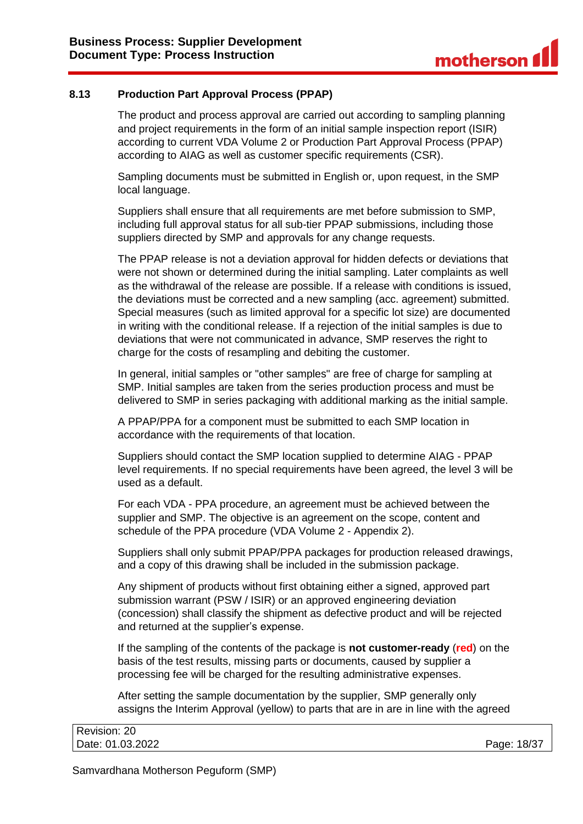### <span id="page-17-0"></span>**8.13 Production Part Approval Process (PPAP)**

The product and process approval are carried out according to sampling planning and project requirements in the form of an initial sample inspection report (ISIR) according to current VDA Volume 2 or Production Part Approval Process (PPAP) according to AIAG as well as customer specific requirements (CSR).

Sampling documents must be submitted in English or, upon request, in the SMP local language.

Suppliers shall ensure that all requirements are met before submission to SMP, including full approval status for all sub-tier PPAP submissions, including those suppliers directed by SMP and approvals for any change requests.

The PPAP release is not a deviation approval for hidden defects or deviations that were not shown or determined during the initial sampling. Later complaints as well as the withdrawal of the release are possible. If a release with conditions is issued, the deviations must be corrected and a new sampling (acc. agreement) submitted. Special measures (such as limited approval for a specific lot size) are documented in writing with the conditional release. If a rejection of the initial samples is due to deviations that were not communicated in advance, SMP reserves the right to charge for the costs of resampling and debiting the customer.

In general, initial samples or "other samples" are free of charge for sampling at SMP. Initial samples are taken from the series production process and must be delivered to SMP in series packaging with additional marking as the initial sample.

A PPAP/PPA for a component must be submitted to each SMP location in accordance with the requirements of that location.

Suppliers should contact the SMP location supplied to determine AIAG - PPAP level requirements. If no special requirements have been agreed, the level 3 will be used as a default.

For each VDA - PPA procedure, an agreement must be achieved between the supplier and SMP. The objective is an agreement on the scope, content and schedule of the PPA procedure (VDA Volume 2 - Appendix 2).

Suppliers shall only submit PPAP/PPA packages for production released drawings, and a copy of this drawing shall be included in the submission package.

Any shipment of products without first obtaining either a signed, approved part submission warrant (PSW / ISIR) or an approved engineering deviation (concession) shall classify the shipment as defective product and will be rejected and returned at the supplier's expense.

If the sampling of the contents of the package is **not customer-ready** (**red**) on the basis of the test results, missing parts or documents, caused by supplier a processing fee will be charged for the resulting administrative expenses.

After setting the sample documentation by the supplier, SMP generally only assigns the Interim Approval (yellow) to parts that are in are in line with the agreed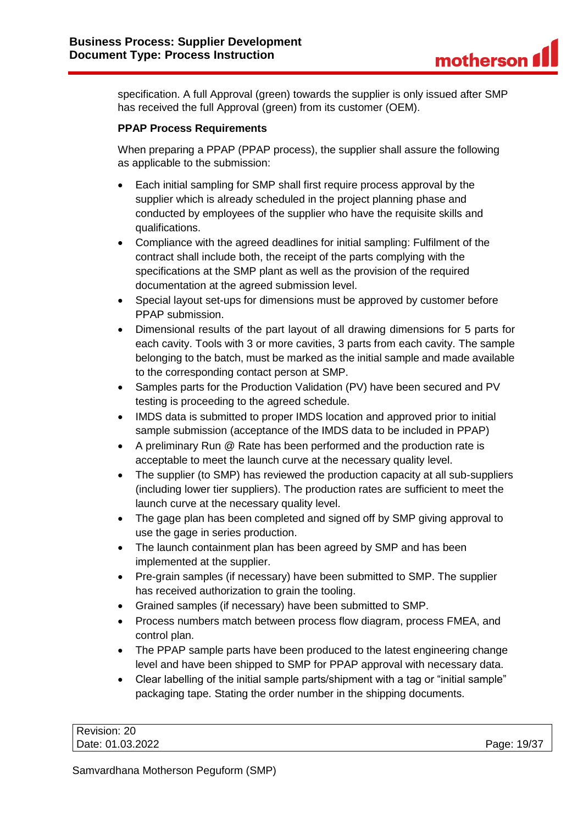specification. A full Approval (green) towards the supplier is only issued after SMP has received the full Approval (green) from its customer (OEM).

### **PPAP Process Requirements**

When preparing a PPAP (PPAP process), the supplier shall assure the following as applicable to the submission:

- Each initial sampling for SMP shall first require process approval by the supplier which is already scheduled in the project planning phase and conducted by employees of the supplier who have the requisite skills and qualifications.
- Compliance with the agreed deadlines for initial sampling: Fulfilment of the contract shall include both, the receipt of the parts complying with the specifications at the SMP plant as well as the provision of the required documentation at the agreed submission level.
- Special layout set-ups for dimensions must be approved by customer before PPAP submission.
- Dimensional results of the part layout of all drawing dimensions for 5 parts for each cavity. Tools with 3 or more cavities, 3 parts from each cavity. The sample belonging to the batch, must be marked as the initial sample and made available to the corresponding contact person at SMP.
- Samples parts for the Production Validation (PV) have been secured and PV testing is proceeding to the agreed schedule.
- IMDS data is submitted to proper IMDS location and approved prior to initial sample submission (acceptance of the IMDS data to be included in PPAP)
- A preliminary Run @ Rate has been performed and the production rate is acceptable to meet the launch curve at the necessary quality level.
- The supplier (to SMP) has reviewed the production capacity at all sub-suppliers (including lower tier suppliers). The production rates are sufficient to meet the launch curve at the necessary quality level.
- The gage plan has been completed and signed off by SMP giving approval to use the gage in series production.
- The launch containment plan has been agreed by SMP and has been implemented at the supplier.
- Pre-grain samples (if necessary) have been submitted to SMP. The supplier has received authorization to grain the tooling.
- Grained samples (if necessary) have been submitted to SMP.
- Process numbers match between process flow diagram, process FMEA, and control plan.
- The PPAP sample parts have been produced to the latest engineering change level and have been shipped to SMP for PPAP approval with necessary data.
- Clear labelling of the initial sample parts/shipment with a tag or "initial sample" packaging tape. Stating the order number in the shipping documents.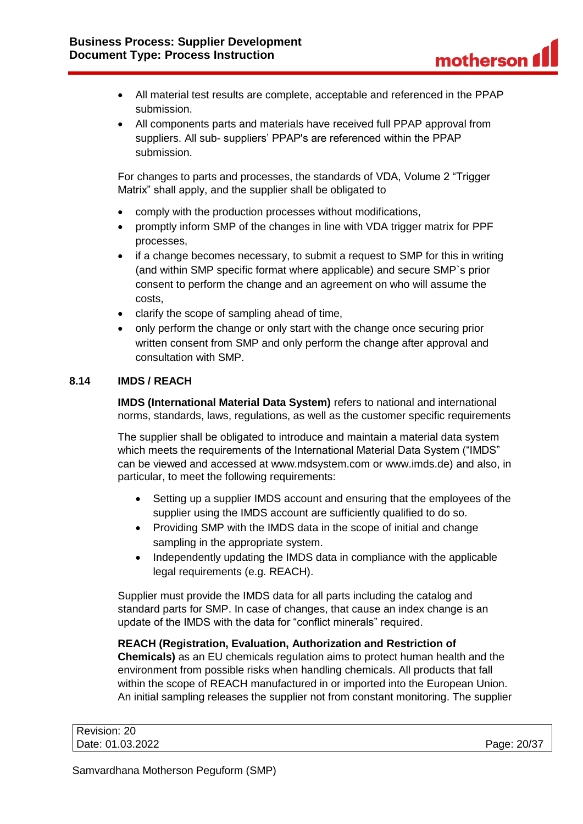- All material test results are complete, acceptable and referenced in the PPAP submission.
- All components parts and materials have received full PPAP approval from suppliers. All sub- suppliers' PPAP's are referenced within the PPAP submission.

For changes to parts and processes, the standards of VDA, Volume 2 "Trigger Matrix" shall apply, and the supplier shall be obligated to

- comply with the production processes without modifications,
- promptly inform SMP of the changes in line with VDA trigger matrix for PPF processes,
- if a change becomes necessary, to submit a request to SMP for this in writing (and within SMP specific format where applicable) and secure SMP`s prior consent to perform the change and an agreement on who will assume the costs,
- clarify the scope of sampling ahead of time,
- only perform the change or only start with the change once securing prior written consent from SMP and only perform the change after approval and consultation with SMP.

### <span id="page-19-0"></span>**8.14 IMDS / REACH**

**IMDS (International Material Data System)** refers to national and international norms, standards, laws, regulations, as well as the customer specific requirements

The supplier shall be obligated to introduce and maintain a material data system which meets the requirements of the International Material Data System ("IMDS" can be viewed and accessed at www.mdsystem.com or www.imds.de) and also, in particular, to meet the following requirements:

- Setting up a supplier IMDS account and ensuring that the employees of the supplier using the IMDS account are sufficiently qualified to do so.
- Providing SMP with the IMDS data in the scope of initial and change sampling in the appropriate system.
- Independently updating the IMDS data in compliance with the applicable legal requirements (e.g. REACH).

Supplier must provide the IMDS data for all parts including the catalog and standard parts for SMP. In case of changes, that cause an index change is an update of the IMDS with the data for "conflict minerals" required.

# **REACH (Registration, Evaluation, Authorization and Restriction of Chemicals)** as an EU chemicals regulation aims to protect human health and the environment from possible risks when handling chemicals. All products that fall within the scope of REACH manufactured in or imported into the European Union. An initial sampling releases the supplier not from constant monitoring. The supplier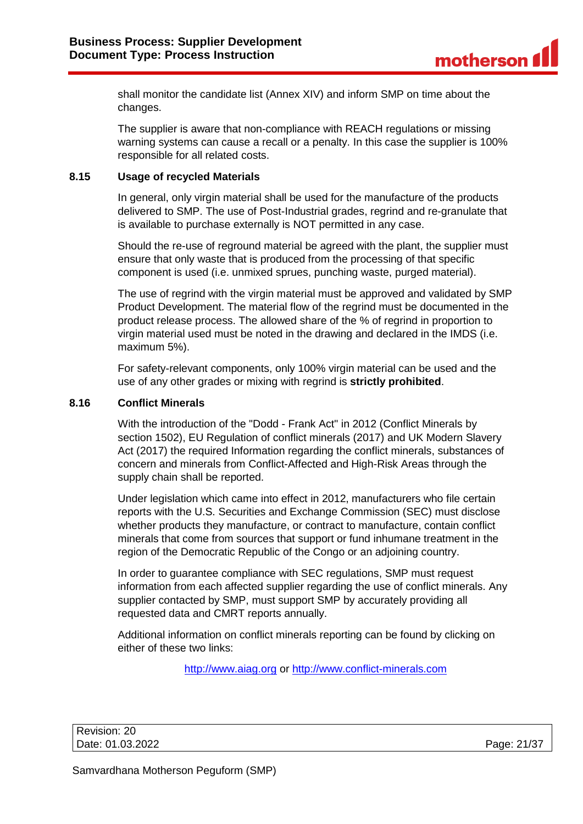shall monitor the candidate list (Annex XIV) and inform SMP on time about the changes.

The supplier is aware that non-compliance with REACH regulations or missing warning systems can cause a recall or a penalty. In this case the supplier is 100% responsible for all related costs.

### <span id="page-20-0"></span>**8.15 Usage of recycled Materials**

In general, only virgin material shall be used for the manufacture of the products delivered to SMP. The use of Post-Industrial grades, regrind and re-granulate that is available to purchase externally is NOT permitted in any case.

Should the re-use of reground material be agreed with the plant, the supplier must ensure that only waste that is produced from the processing of that specific component is used (i.e. unmixed sprues, punching waste, purged material).

The use of regrind with the virgin material must be approved and validated by SMP Product Development. The material flow of the regrind must be documented in the product release process. The allowed share of the % of regrind in proportion to virgin material used must be noted in the drawing and declared in the IMDS (i.e. maximum 5%).

For safety-relevant components, only 100% virgin material can be used and the use of any other grades or mixing with regrind is **strictly prohibited**.

### <span id="page-20-1"></span>**8.16 Conflict Minerals**

With the introduction of the "Dodd - Frank Act" in 2012 (Conflict Minerals by section 1502), EU Regulation of conflict minerals (2017) and UK Modern Slavery Act (2017) the required Information regarding the conflict minerals, substances of concern and minerals from Conflict-Affected and High-Risk Areas through the supply chain shall be reported.

Under legislation which came into effect in 2012, manufacturers who file certain reports with the U.S. Securities and Exchange Commission (SEC) must disclose whether products they manufacture, or contract to manufacture, contain conflict minerals that come from sources that support or fund inhumane treatment in the region of the Democratic Republic of the Congo or an adjoining country.

In order to guarantee compliance with SEC regulations, SMP must request information from each affected supplier regarding the use of conflict minerals. Any supplier contacted by SMP, must support SMP by accurately providing all requested data and CMRT reports annually.

Additional information on conflict minerals reporting can be found by clicking on either of these two links:

[http://www.aiag.org](http://www.aiag.org/) or [http://www.conflict-minerals.com](http://www.conflict-minerals.com/)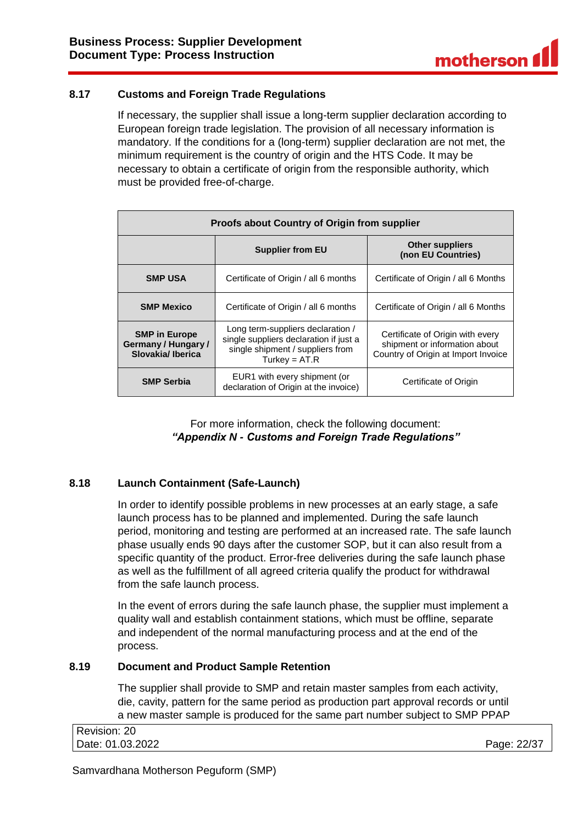# <span id="page-21-0"></span>**8.17 Customs and Foreign Trade Regulations**

If necessary, the supplier shall issue a long-term supplier declaration according to European foreign trade legislation. The provision of all necessary information is mandatory. If the conditions for a (long-term) supplier declaration are not met, the minimum requirement is the country of origin and the HTS Code. It may be necessary to obtain a certificate of origin from the responsible authority, which must be provided free-of-charge.

| Proofs about Country of Origin from supplier                    |                                                                                                                                    |                                                                                                          |  |
|-----------------------------------------------------------------|------------------------------------------------------------------------------------------------------------------------------------|----------------------------------------------------------------------------------------------------------|--|
|                                                                 | <b>Supplier from EU</b>                                                                                                            | <b>Other suppliers</b><br>(non EU Countries)                                                             |  |
| <b>SMP USA</b>                                                  | Certificate of Origin / all 6 months                                                                                               | Certificate of Origin / all 6 Months                                                                     |  |
| <b>SMP Mexico</b>                                               | Certificate of Origin / all 6 months                                                                                               | Certificate of Origin / all 6 Months                                                                     |  |
| <b>SMP in Europe</b><br>Germany / Hungary /<br>Slovakia/Iberica | Long term-suppliers declaration /<br>single suppliers declaration if just a<br>single shipment / suppliers from<br>Turkey = $AT.R$ | Certificate of Origin with every<br>shipment or information about<br>Country of Origin at Import Invoice |  |
| <b>SMP Serbia</b>                                               | EUR1 with every shipment (or<br>declaration of Origin at the invoice)                                                              | Certificate of Origin                                                                                    |  |

For more information, check the following document: *"Appendix N - Customs and Foreign Trade Regulations"*

# <span id="page-21-1"></span>**8.18 Launch Containment (Safe-Launch)**

In order to identify possible problems in new processes at an early stage, a safe launch process has to be planned and implemented. During the safe launch period, monitoring and testing are performed at an increased rate. The safe launch phase usually ends 90 days after the customer SOP, but it can also result from a specific quantity of the product. Error-free deliveries during the safe launch phase as well as the fulfillment of all agreed criteria qualify the product for withdrawal from the safe launch process.

In the event of errors during the safe launch phase, the supplier must implement a quality wall and establish containment stations, which must be offline, separate and independent of the normal manufacturing process and at the end of the process.

### <span id="page-21-2"></span>**8.19 Document and Product Sample Retention**

The supplier shall provide to SMP and retain master samples from each activity, die, cavity, pattern for the same period as production part approval records or until a new master sample is produced for the same part number subject to SMP PPAP

| Revision: 20     |             |
|------------------|-------------|
| Date: 01.03.2022 | Page: 22/37 |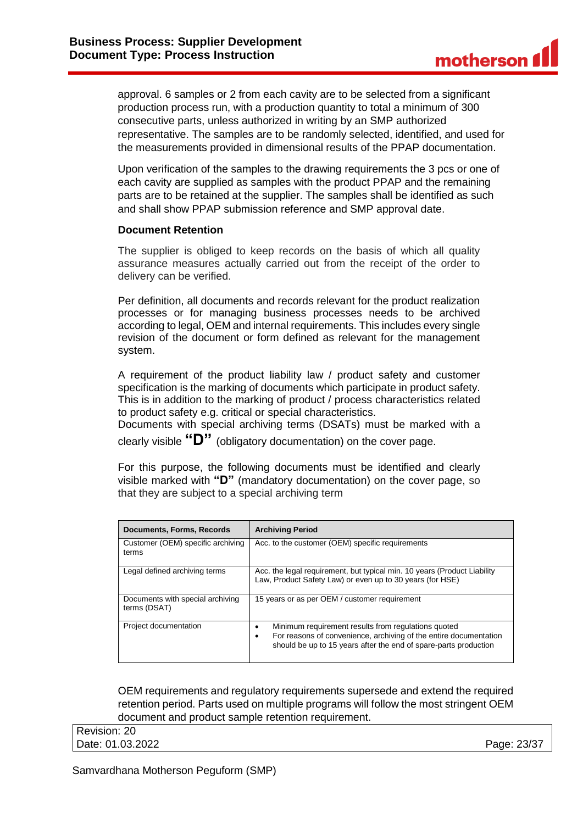approval. 6 samples or 2 from each cavity are to be selected from a significant production process run, with a production quantity to total a minimum of 300 consecutive parts, unless authorized in writing by an SMP authorized representative. The samples are to be randomly selected, identified, and used for the measurements provided in dimensional results of the PPAP documentation.

Upon verification of the samples to the drawing requirements the 3 pcs or one of each cavity are supplied as samples with the product PPAP and the remaining parts are to be retained at the supplier. The samples shall be identified as such and shall show PPAP submission reference and SMP approval date.

#### **Document Retention**

The supplier is obliged to keep records on the basis of which all quality assurance measures actually carried out from the receipt of the order to delivery can be verified.

Per definition, all documents and records relevant for the product realization processes or for managing business processes needs to be archived according to legal, OEM and internal requirements. This includes every single revision of the document or form defined as relevant for the management system.

A requirement of the product liability law / product safety and customer specification is the marking of documents which participate in product safety. This is in addition to the marking of product / process characteristics related to product safety e.g. critical or special characteristics.

Documents with special archiving terms (DSATs) must be marked with a clearly visible **"D"** (obligatory documentation) on the cover page.

For this purpose, the following documents must be identified and clearly visible marked with **"D"** (mandatory documentation) on the cover page, so that they are subject to a special archiving term

| <b>Documents, Forms, Records</b>                 | <b>Archiving Period</b>                                                                                                                                                                      |
|--------------------------------------------------|----------------------------------------------------------------------------------------------------------------------------------------------------------------------------------------------|
| Customer (OEM) specific archiving<br>terms       | Acc. to the customer (OEM) specific requirements                                                                                                                                             |
| Legal defined archiving terms                    | Acc. the legal requirement, but typical min. 10 years (Product Liability<br>Law, Product Safety Law) or even up to 30 years (for HSE)                                                        |
| Documents with special archiving<br>terms (DSAT) | 15 years or as per OEM / customer requirement                                                                                                                                                |
| Project documentation                            | Minimum requirement results from regulations quoted<br>For reasons of convenience, archiving of the entire documentation<br>should be up to 15 years after the end of spare-parts production |

OEM requirements and regulatory requirements supersede and extend the required retention period. Parts used on multiple programs will follow the most stringent OEM document and product sample retention requirement.

Revision: 20 Date: 01.03.2022 Page: 23/37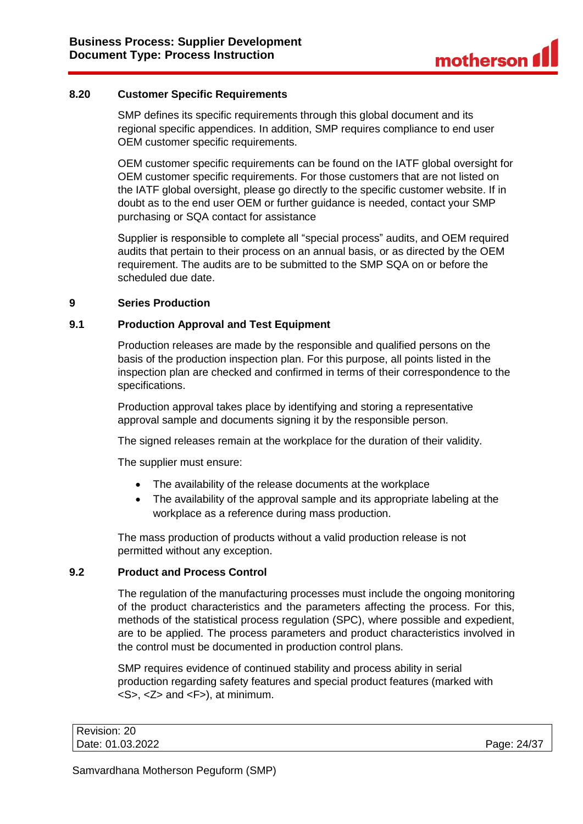### <span id="page-23-0"></span>**8.20 Customer Specific Requirements**

SMP defines its specific requirements through this global document and its regional specific appendices. In addition, SMP requires compliance to end user OEM customer specific requirements.

OEM customer specific requirements can be found on the IATF global oversight for OEM customer specific requirements. For those customers that are not listed on the IATF global oversight, please go directly to the specific customer website. If in doubt as to the end user OEM or further guidance is needed, contact your SMP purchasing or SQA contact for assistance

Supplier is responsible to complete all "special process" audits, and OEM required audits that pertain to their process on an annual basis, or as directed by the OEM requirement. The audits are to be submitted to the SMP SQA on or before the scheduled due date.

### <span id="page-23-1"></span>**9 Series Production**

### <span id="page-23-2"></span>**9.1 Production Approval and Test Equipment**

Production releases are made by the responsible and qualified persons on the basis of the production inspection plan. For this purpose, all points listed in the inspection plan are checked and confirmed in terms of their correspondence to the specifications.

Production approval takes place by identifying and storing a representative approval sample and documents signing it by the responsible person.

The signed releases remain at the workplace for the duration of their validity.

The supplier must ensure:

- The availability of the release documents at the workplace
- The availability of the approval sample and its appropriate labeling at the workplace as a reference during mass production.

The mass production of products without a valid production release is not permitted without any exception.

### <span id="page-23-3"></span>**9.2 Product and Process Control**

The regulation of the manufacturing processes must include the ongoing monitoring of the product characteristics and the parameters affecting the process. For this, methods of the statistical process regulation (SPC), where possible and expedient, are to be applied. The process parameters and product characteristics involved in the control must be documented in production control plans.

SMP requires evidence of continued stability and process ability in serial production regarding safety features and special product features (marked with  $<$ S>,  $<$ Z> and  $<$ F>), at minimum.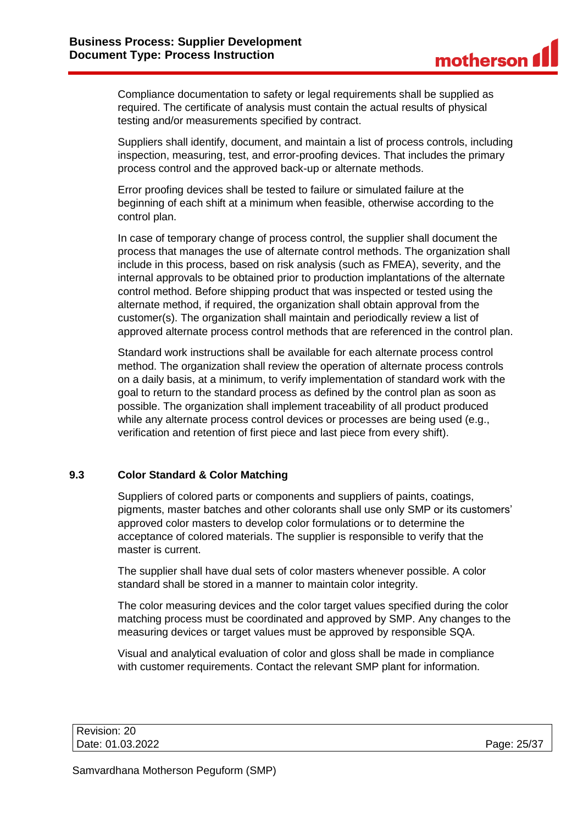Compliance documentation to safety or legal requirements shall be supplied as required. The certificate of analysis must contain the actual results of physical testing and/or measurements specified by contract.

Suppliers shall identify, document, and maintain a list of process controls, including inspection, measuring, test, and error-proofing devices. That includes the primary process control and the approved back-up or alternate methods.

Error proofing devices shall be tested to failure or simulated failure at the beginning of each shift at a minimum when feasible, otherwise according to the control plan.

In case of temporary change of process control, the supplier shall document the process that manages the use of alternate control methods. The organization shall include in this process, based on risk analysis (such as FMEA), severity, and the internal approvals to be obtained prior to production implantations of the alternate control method. Before shipping product that was inspected or tested using the alternate method, if required, the organization shall obtain approval from the customer(s). The organization shall maintain and periodically review a list of approved alternate process control methods that are referenced in the control plan.

Standard work instructions shall be available for each alternate process control method. The organization shall review the operation of alternate process controls on a daily basis, at a minimum, to verify implementation of standard work with the goal to return to the standard process as defined by the control plan as soon as possible. The organization shall implement traceability of all product produced while any alternate process control devices or processes are being used (e.g., verification and retention of first piece and last piece from every shift).

# <span id="page-24-0"></span>**9.3 Color Standard & Color Matching**

Suppliers of colored parts or components and suppliers of paints, coatings, pigments, master batches and other colorants shall use only SMP or its customers' approved color masters to develop color formulations or to determine the acceptance of colored materials. The supplier is responsible to verify that the master is current.

The supplier shall have dual sets of color masters whenever possible. A color standard shall be stored in a manner to maintain color integrity.

The color measuring devices and the color target values specified during the color matching process must be coordinated and approved by SMP. Any changes to the measuring devices or target values must be approved by responsible SQA.

Visual and analytical evaluation of color and gloss shall be made in compliance with customer requirements. Contact the relevant SMP plant for information.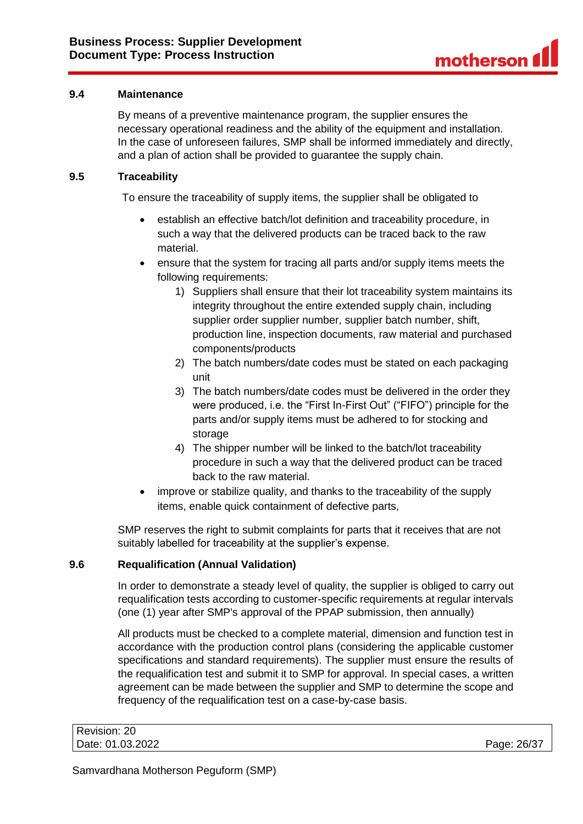### <span id="page-25-0"></span>**9.4 Maintenance**

By means of a preventive maintenance program, the supplier ensures the necessary operational readiness and the ability of the equipment and installation. In the case of unforeseen failures, SMP shall be informed immediately and directly, and a plan of action shall be provided to guarantee the supply chain.

### <span id="page-25-1"></span>**9.5 Traceability**

To ensure the traceability of supply items, the supplier shall be obligated to

- establish an effective batch/lot definition and traceability procedure, in such a way that the delivered products can be traced back to the raw material.
- ensure that the system for tracing all parts and/or supply items meets the following requirements:
	- 1) Suppliers shall ensure that their lot traceability system maintains its integrity throughout the entire extended supply chain, including supplier order supplier number, supplier batch number, shift, production line, inspection documents, raw material and purchased components/products
	- 2) The batch numbers/date codes must be stated on each packaging unit
	- 3) The batch numbers/date codes must be delivered in the order they were produced, i.e. the "First In-First Out" ("FIFO") principle for the parts and/or supply items must be adhered to for stocking and storage
	- 4) The shipper number will be linked to the batch/lot traceability procedure in such a way that the delivered product can be traced back to the raw material.
- improve or stabilize quality, and thanks to the traceability of the supply items, enable quick containment of defective parts,

SMP reserves the right to submit complaints for parts that it receives that are not suitably labelled for traceability at the supplier's expense.

# <span id="page-25-2"></span>**9.6 Requalification (Annual Validation)**

In order to demonstrate a steady level of quality, the supplier is obliged to carry out requalification tests according to customer-specific requirements at regular intervals (one (1) year after SMP's approval of the PPAP submission, then annually)

All products must be checked to a complete material, dimension and function test in accordance with the production control plans (considering the applicable customer specifications and standard requirements). The supplier must ensure the results of the requalification test and submit it to SMP for approval. In special cases, a written agreement can be made between the supplier and SMP to determine the scope and frequency of the requalification test on a case-by-case basis.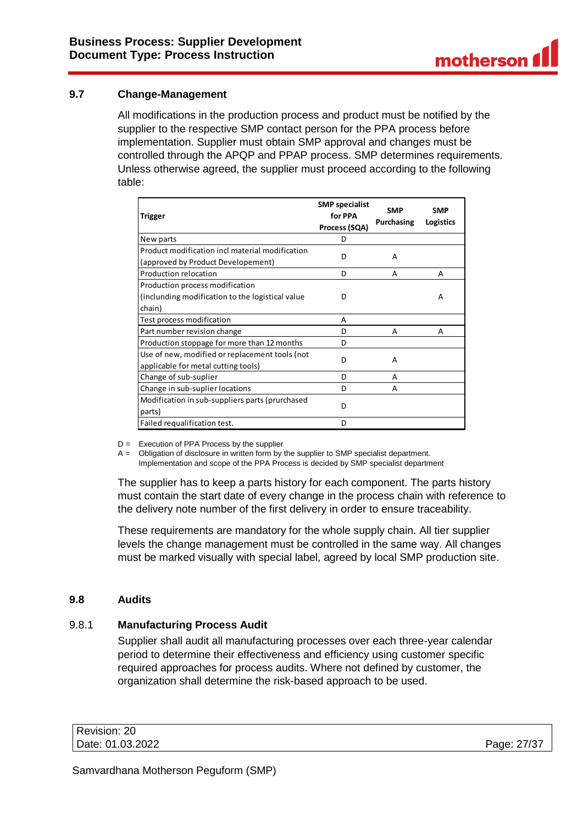# <span id="page-26-0"></span>**9.7 Change-Management**

All modifications in the production process and product must be notified by the supplier to the respective SMP contact person for the PPA process before implementation. Supplier must obtain SMP approval and changes must be controlled through the APQP and PPAP process. SMP determines requirements. Unless otherwise agreed, the supplier must proceed according to the following table:

| <b>Trigger</b>                                   | <b>SMP</b> specialist<br>for PPA<br>Process (SQA) | <b>SMP</b><br>Purchasing | <b>SMP</b><br>Logistics |
|--------------------------------------------------|---------------------------------------------------|--------------------------|-------------------------|
| New parts                                        | D                                                 |                          |                         |
| Product modification incl material modification  | D                                                 | A                        |                         |
| (approved by Product Developement)               |                                                   |                          |                         |
| Production relocation                            | D                                                 | А                        | A                       |
| Production process modification                  |                                                   |                          |                         |
| (inclunding modification to the logistical value | D                                                 |                          | А                       |
| chain)                                           |                                                   |                          |                         |
| Test process modification                        | A                                                 |                          |                         |
| Part number revision change                      | D                                                 | А                        | А                       |
| Production stoppage for more than 12 months      | D                                                 |                          |                         |
| Use of new, modified or replacement tools (not   | D                                                 | A                        |                         |
| applicable for metal cutting tools)              |                                                   |                          |                         |
| Change of sub-suplier                            | D                                                 | A                        |                         |
| Change in sub-suplier locations                  | D                                                 | А                        |                         |
| Modification in sub-suppliers parts (prurchased  | D                                                 |                          |                         |
| parts)                                           |                                                   |                          |                         |
| Failed requalification test.                     | D                                                 |                          |                         |

D = Execution of PPA Process by the supplier

A = Obligation of disclosure in written form by the supplier to SMP specialist department. Implementation and scope of the PPA Process is decided by SMP specialist department

The supplier has to keep a parts history for each component. The parts history must contain the start date of every change in the process chain with reference to the delivery note number of the first delivery in order to ensure traceability.

These requirements are mandatory for the whole supply chain. All tier supplier levels the change management must be controlled in the same way. All changes must be marked visually with special label, agreed by local SMP production site.

### <span id="page-26-1"></span>**9.8 Audits**

# <span id="page-26-2"></span>9.8.1 **Manufacturing Process Audit**

Supplier shall audit all manufacturing processes over each three-year calendar period to determine their effectiveness and efficiency using customer specific required approaches for process audits. Where not defined by customer, the organization shall determine the risk-based approach to be used.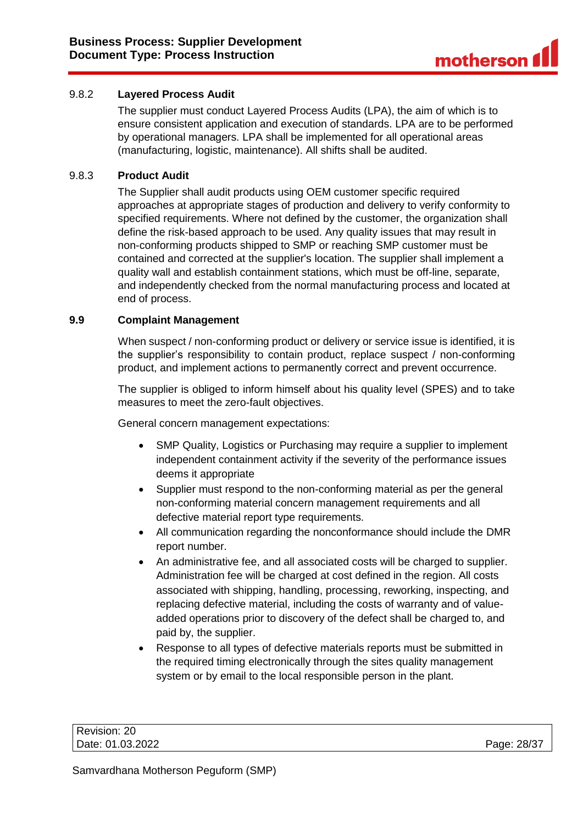# <span id="page-27-0"></span>9.8.2 **Layered Process Audit**

The supplier must conduct Layered Process Audits (LPA), the aim of which is to ensure consistent application and execution of standards. LPA are to be performed by operational managers. LPA shall be implemented for all operational areas (manufacturing, logistic, maintenance). All shifts shall be audited.

### <span id="page-27-1"></span>9.8.3 **Product Audit**

The Supplier shall audit products using OEM customer specific required approaches at appropriate stages of production and delivery to verify conformity to specified requirements. Where not defined by the customer, the organization shall define the risk-based approach to be used. Any quality issues that may result in non-conforming products shipped to SMP or reaching SMP customer must be contained and corrected at the supplier's location. The supplier shall implement a quality wall and establish containment stations, which must be off-line, separate, and independently checked from the normal manufacturing process and located at end of process.

### <span id="page-27-2"></span>**9.9 Complaint Management**

When suspect / non-conforming product or delivery or service issue is identified, it is the supplier's responsibility to contain product, replace suspect / non-conforming product, and implement actions to permanently correct and prevent occurrence.

The supplier is obliged to inform himself about his quality level (SPES) and to take measures to meet the zero-fault objectives.

General concern management expectations:

- SMP Quality, Logistics or Purchasing may require a supplier to implement independent containment activity if the severity of the performance issues deems it appropriate
- Supplier must respond to the non-conforming material as per the general non-conforming material concern management requirements and all defective material report type requirements.
- All communication regarding the nonconformance should include the DMR report number.
- An administrative fee, and all associated costs will be charged to supplier. Administration fee will be charged at cost defined in the region. All costs associated with shipping, handling, processing, reworking, inspecting, and replacing defective material, including the costs of warranty and of valueadded operations prior to discovery of the defect shall be charged to, and paid by, the supplier.
- Response to all types of defective materials reports must be submitted in the required timing electronically through the sites quality management system or by email to the local responsible person in the plant.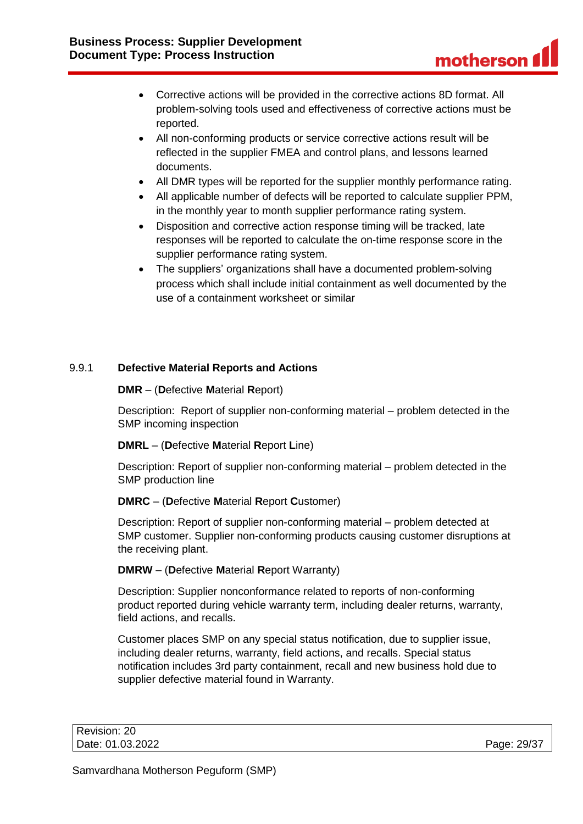- Corrective actions will be provided in the corrective actions 8D format. All problem-solving tools used and effectiveness of corrective actions must be reported.
- All non-conforming products or service corrective actions result will be reflected in the supplier FMEA and control plans, and lessons learned documents.
- All DMR types will be reported for the supplier monthly performance rating.
- All applicable number of defects will be reported to calculate supplier PPM, in the monthly year to month supplier performance rating system.
- Disposition and corrective action response timing will be tracked, late responses will be reported to calculate the on-time response score in the supplier performance rating system.
- The suppliers' organizations shall have a documented problem-solving process which shall include initial containment as well documented by the use of a containment worksheet or similar

# <span id="page-28-0"></span>9.9.1 **Defective Material Reports and Actions**

### **DMR** – (**D**efective **M**aterial **R**eport)

Description: Report of supplier non-conforming material – problem detected in the SMP incoming inspection

### **DMRL** – (**D**efective **M**aterial **R**eport **L**ine)

Description: Report of supplier non-conforming material – problem detected in the SMP production line

# **DMRC** – (**D**efective **M**aterial **R**eport **C**ustomer)

Description: Report of supplier non-conforming material – problem detected at SMP customer. Supplier non-conforming products causing customer disruptions at the receiving plant.

# **DMRW** – (**D**efective **M**aterial **R**eport Warranty)

Description: Supplier nonconformance related to reports of non-conforming product reported during vehicle warranty term, including dealer returns, warranty, field actions, and recalls.

Customer places SMP on any special status notification, due to supplier issue, including dealer returns, warranty, field actions, and recalls. Special status notification includes 3rd party containment, recall and new business hold due to supplier defective material found in Warranty.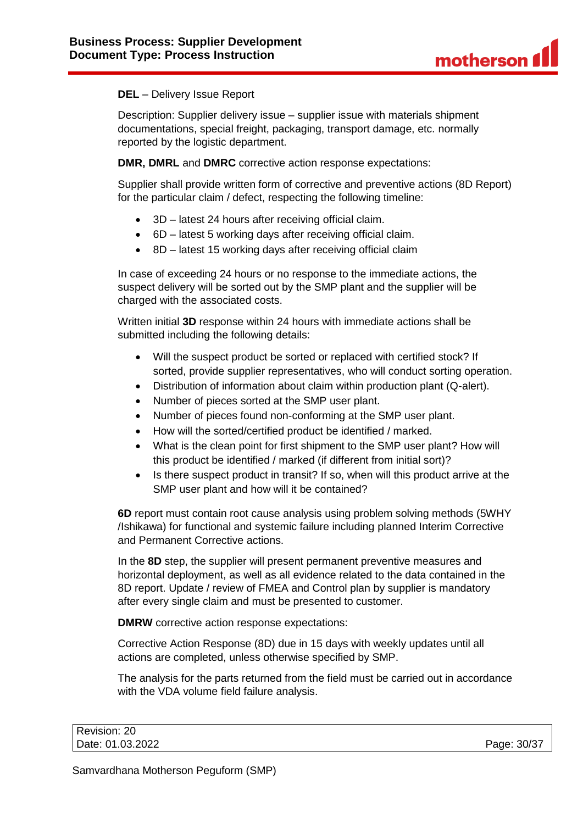### **DEL** – Delivery Issue Report

Description: Supplier delivery issue – supplier issue with materials shipment documentations, special freight, packaging, transport damage, etc. normally reported by the logistic department.

**DMR, DMRL** and **DMRC** corrective action response expectations:

Supplier shall provide written form of corrective and preventive actions (8D Report) for the particular claim / defect, respecting the following timeline:

- 3D latest 24 hours after receiving official claim.
- 6D latest 5 working days after receiving official claim.
- 8D latest 15 working days after receiving official claim

In case of exceeding 24 hours or no response to the immediate actions, the suspect delivery will be sorted out by the SMP plant and the supplier will be charged with the associated costs.

Written initial **3D** response within 24 hours with immediate actions shall be submitted including the following details:

- Will the suspect product be sorted or replaced with certified stock? If sorted, provide supplier representatives, who will conduct sorting operation.
- Distribution of information about claim within production plant (Q-alert).
- Number of pieces sorted at the SMP user plant.
- Number of pieces found non-conforming at the SMP user plant.
- How will the sorted/certified product be identified / marked.
- What is the clean point for first shipment to the SMP user plant? How will this product be identified / marked (if different from initial sort)?
- Is there suspect product in transit? If so, when will this product arrive at the SMP user plant and how will it be contained?

**6D** report must contain root cause analysis using problem solving methods (5WHY /Ishikawa) for functional and systemic failure including planned Interim Corrective and Permanent Corrective actions.

In the **8D** step, the supplier will present permanent preventive measures and horizontal deployment, as well as all evidence related to the data contained in the 8D report. Update / review of FMEA and Control plan by supplier is mandatory after every single claim and must be presented to customer.

**DMRW** corrective action response expectations:

Corrective Action Response (8D) due in 15 days with weekly updates until all actions are completed, unless otherwise specified by SMP.

The analysis for the parts returned from the field must be carried out in accordance with the VDA volume field failure analysis.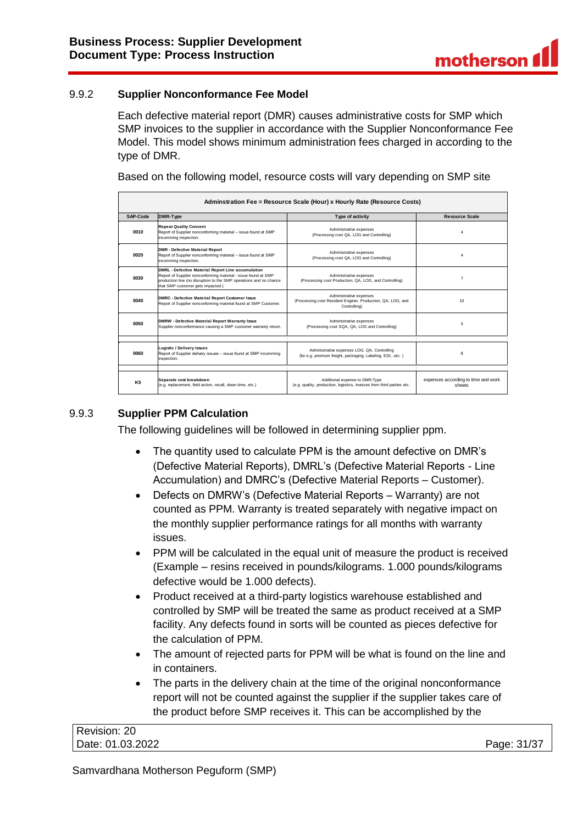# <span id="page-30-0"></span>9.9.2 **Supplier Nonconformance Fee Model**

Each defective material report (DMR) causes administrative costs for SMP which SMP invoices to the supplier in accordance with the Supplier Nonconformance Fee Model. This model shows minimum administration fees charged in according to the type of DMR.

Based on the following model, resource costs will vary depending on SMP site

| Adminstration Fee = Resource Scale (Hour) x Hourly Rate (Resource Costs) |                                                                                                                                                                                                                                 |                                                                                                           |                                               |
|--------------------------------------------------------------------------|---------------------------------------------------------------------------------------------------------------------------------------------------------------------------------------------------------------------------------|-----------------------------------------------------------------------------------------------------------|-----------------------------------------------|
| SAP-Code                                                                 | DMR-Type                                                                                                                                                                                                                        | Type of activity                                                                                          | <b>Resource Scale</b>                         |
| 0010                                                                     | <b>Repeat Quality Concern</b><br>Report of Supplier nonconforming material - issue found at SMP<br>incomming inspection.                                                                                                        | Administrative expenses<br>(Processing cost QA, LOG and Controlling)                                      | $\overline{\bf 4}$                            |
| 0020                                                                     | <b>DMR - Defective Material Report</b><br>Report of Supplier nonconforming material - issue found at SMP<br>incomming inspection.                                                                                               | Administrative expenses<br>(Processing cost QA, LOG and Controlling)                                      | Δ                                             |
| 0030                                                                     | DMRL - Defective Material Report Line accumulation<br>Report of Supplier nonconforming material - issue found at SMP<br>production line (no disruption to the SMP operations and no chance<br>that SMP customer gets impacted.) | Administrative expenses<br>(Processing cost Production, QA, LOG, and Controlling)                         | $\overline{7}$                                |
| 0040                                                                     | DMRC - Defective Material Report Customer Issue<br>Report of Supplier nonconforming material found at SMP Customer.                                                                                                             | Administrative expenses<br>(Processing cost Resident Enginer, Production, QA, LOG, and<br>Controlling)    | 10                                            |
| 0050                                                                     | DMRW - Defective Material Report Warranty Issue<br>Supplier nonconformance causing a SMP customer warranty return.                                                                                                              | Administrative expenses<br>(Processing cost SQA, QA, LOG and Controlling)                                 | 5                                             |
|                                                                          |                                                                                                                                                                                                                                 |                                                                                                           |                                               |
| 0060                                                                     | Logistic / Delivery Issues<br>Report of Supplier delivery issues - issue found at SMP incomming<br>inspection.                                                                                                                  | Administrative expenses LOG, QA, Controlling<br>(for e.g. premium freight, packaging, Labeling, EDI,etc.) | 4                                             |
|                                                                          |                                                                                                                                                                                                                                 |                                                                                                           |                                               |
| <b>K5</b>                                                                | Separate cost breakdown<br>(e.g. replacement, field action, recall, down time, etc.)                                                                                                                                            | Additional expense to DMR-Type<br>(e.g. quality, production, logistics, Invoices from third parties etc.  | expenses according to time and work<br>sheets |

# <span id="page-30-1"></span>9.9.3 **Supplier PPM Calculation**

The following guidelines will be followed in determining supplier ppm.

- The quantity used to calculate PPM is the amount defective on DMR's (Defective Material Reports), DMRL's (Defective Material Reports - Line Accumulation) and DMRC's (Defective Material Reports – Customer).
- Defects on DMRW's (Defective Material Reports Warranty) are not counted as PPM. Warranty is treated separately with negative impact on the monthly supplier performance ratings for all months with warranty issues.
- PPM will be calculated in the equal unit of measure the product is received (Example – resins received in pounds/kilograms. 1.000 pounds/kilograms defective would be 1.000 defects).
- Product received at a third-party logistics warehouse established and controlled by SMP will be treated the same as product received at a SMP facility. Any defects found in sorts will be counted as pieces defective for the calculation of PPM.
- The amount of rejected parts for PPM will be what is found on the line and in containers.
- The parts in the delivery chain at the time of the original nonconformance report will not be counted against the supplier if the supplier takes care of the product before SMP receives it. This can be accomplished by the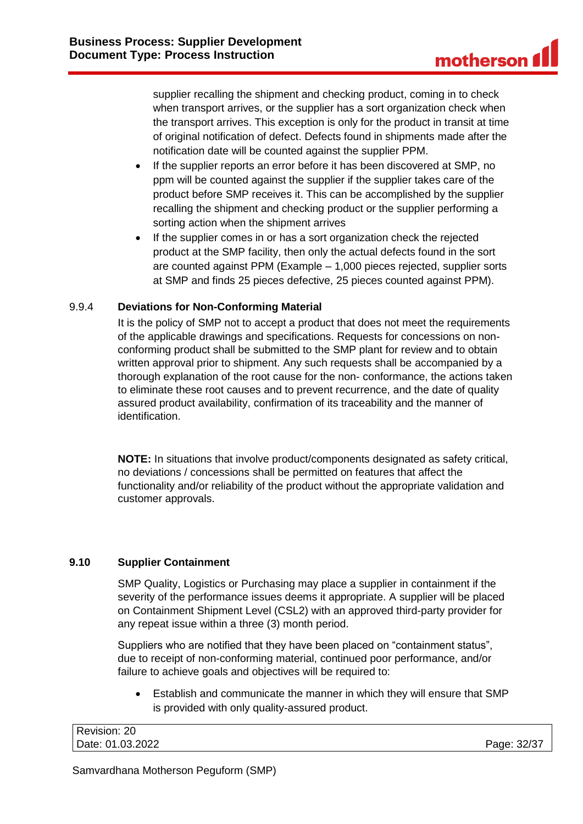supplier recalling the shipment and checking product, coming in to check when transport arrives, or the supplier has a sort organization check when the transport arrives. This exception is only for the product in transit at time of original notification of defect. Defects found in shipments made after the notification date will be counted against the supplier PPM.

- If the supplier reports an error before it has been discovered at SMP, no ppm will be counted against the supplier if the supplier takes care of the product before SMP receives it. This can be accomplished by the supplier recalling the shipment and checking product or the supplier performing a sorting action when the shipment arrives
- If the supplier comes in or has a sort organization check the rejected product at the SMP facility, then only the actual defects found in the sort are counted against PPM (Example – 1,000 pieces rejected, supplier sorts at SMP and finds 25 pieces defective, 25 pieces counted against PPM).

### <span id="page-31-0"></span>9.9.4 **Deviations for Non-Conforming Material**

It is the policy of SMP not to accept a product that does not meet the requirements of the applicable drawings and specifications. Requests for concessions on nonconforming product shall be submitted to the SMP plant for review and to obtain written approval prior to shipment. Any such requests shall be accompanied by a thorough explanation of the root cause for the non- conformance, the actions taken to eliminate these root causes and to prevent recurrence, and the date of quality assured product availability, confirmation of its traceability and the manner of identification.

**NOTE:** In situations that involve product/components designated as safety critical, no deviations / concessions shall be permitted on features that affect the functionality and/or reliability of the product without the appropriate validation and customer approvals.

### <span id="page-31-1"></span>**9.10 Supplier Containment**

SMP Quality, Logistics or Purchasing may place a supplier in containment if the severity of the performance issues deems it appropriate. A supplier will be placed on Containment Shipment Level (CSL2) with an approved third-party provider for any repeat issue within a three (3) month period.

Suppliers who are notified that they have been placed on "containment status", due to receipt of non-conforming material, continued poor performance, and/or failure to achieve goals and objectives will be required to:

• Establish and communicate the manner in which they will ensure that SMP is provided with only quality-assured product.

| Revision: 20     |             |
|------------------|-------------|
| Date: 01.03.2022 | Page: 32/37 |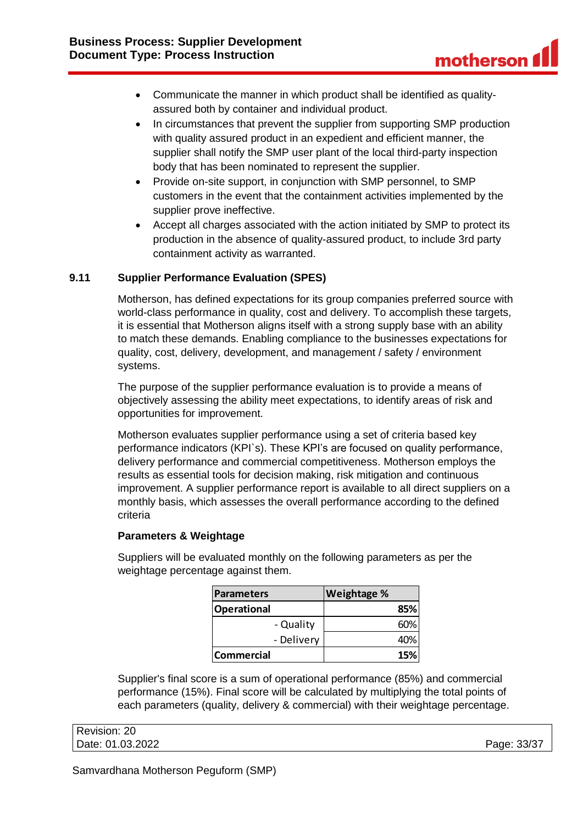- Communicate the manner in which product shall be identified as qualityassured both by container and individual product.
- In circumstances that prevent the supplier from supporting SMP production with quality assured product in an expedient and efficient manner, the supplier shall notify the SMP user plant of the local third-party inspection body that has been nominated to represent the supplier.
- Provide on-site support, in conjunction with SMP personnel, to SMP customers in the event that the containment activities implemented by the supplier prove ineffective.
- Accept all charges associated with the action initiated by SMP to protect its production in the absence of quality-assured product, to include 3rd party containment activity as warranted.

# <span id="page-32-0"></span>**9.11 Supplier Performance Evaluation (SPES)**

Motherson, has defined expectations for its group companies preferred source with world-class performance in quality, cost and delivery. To accomplish these targets, it is essential that Motherson aligns itself with a strong supply base with an ability to match these demands. Enabling compliance to the businesses expectations for quality, cost, delivery, development, and management / safety / environment systems.

The purpose of the supplier performance evaluation is to provide a means of objectively assessing the ability meet expectations, to identify areas of risk and opportunities for improvement.

Motherson evaluates supplier performance using a set of criteria based key performance indicators (KPI`s). These KPI's are focused on quality performance, delivery performance and commercial competitiveness. Motherson employs the results as essential tools for decision making, risk mitigation and continuous improvement. A supplier performance report is available to all direct suppliers on a monthly basis, which assesses the overall performance according to the defined criteria

### **Parameters & Weightage**

Suppliers will be evaluated monthly on the following parameters as per the weightage percentage against them.

| <b>Parameters</b>  | <b>Weightage %</b> |
|--------------------|--------------------|
| <b>Operational</b> | 85%                |
| - Quality          | 60%                |
| - Delivery         | 40%                |
| <b>Commercial</b>  | 15%                |

Supplier's final score is a sum of operational performance (85%) and commercial performance (15%). Final score will be calculated by multiplying the total points of each parameters (quality, delivery & commercial) with their weightage percentage.

| Revision: 20     |             |
|------------------|-------------|
| Date: 01.03.2022 | Page: 33/37 |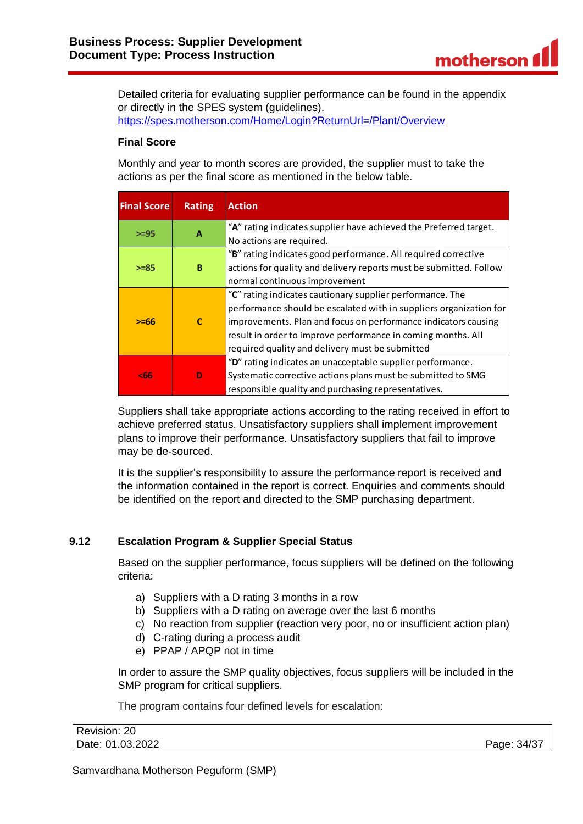

Detailed criteria for evaluating supplier performance can be found in the appendix or directly in the SPES system (guidelines). <https://spes.motherson.com/Home/Login?ReturnUrl=/Plant/Overview>

### **Final Score**

Monthly and year to month scores are provided, the supplier must to take the actions as per the final score as mentioned in the below table.

| <b>Final Score</b> | <b>Rating</b> | <b>Action</b>                                                      |
|--------------------|---------------|--------------------------------------------------------------------|
| $>=95$             | A             | "A" rating indicates supplier have achieved the Preferred target.  |
|                    |               | No actions are required.                                           |
|                    |               | "B" rating indicates good performance. All required corrective     |
| $>= 85$            | B             | actions for quality and delivery reports must be submitted. Follow |
|                    |               | normal continuous improvement                                      |
| $>= 66$            | $\mathbf{C}$  | "C" rating indicates cautionary supplier performance. The          |
|                    |               | performance should be escalated with in suppliers organization for |
|                    |               | improvements. Plan and focus on performance indicators causing     |
|                    |               | result in order to improve performance in coming months. All       |
|                    |               | required quality and delivery must be submitted                    |
| <66                |               | "D" rating indicates an unacceptable supplier performance.         |
|                    | D             | Systematic corrective actions plans must be submitted to SMG       |
|                    |               | responsible quality and purchasing representatives.                |

Suppliers shall take appropriate actions according to the rating received in effort to achieve preferred status. Unsatisfactory suppliers shall implement improvement plans to improve their performance. Unsatisfactory suppliers that fail to improve may be de-sourced.

It is the supplier's responsibility to assure the performance report is received and the information contained in the report is correct. Enquiries and comments should be identified on the report and directed to the SMP purchasing department.

### <span id="page-33-0"></span>**9.12 Escalation Program & Supplier Special Status**

Based on the supplier performance, focus suppliers will be defined on the following criteria:

- a) Suppliers with a D rating 3 months in a row
- b) Suppliers with a D rating on average over the last 6 months
- c) No reaction from supplier (reaction very poor, no or insufficient action plan)
- d) C-rating during a process audit
- e) PPAP / APQP not in time

In order to assure the SMP quality objectives, focus suppliers will be included in the SMP program for critical suppliers.

The program contains four defined levels for escalation:

| Revision: 20     |             |
|------------------|-------------|
| Date: 01.03.2022 | Page: 34/37 |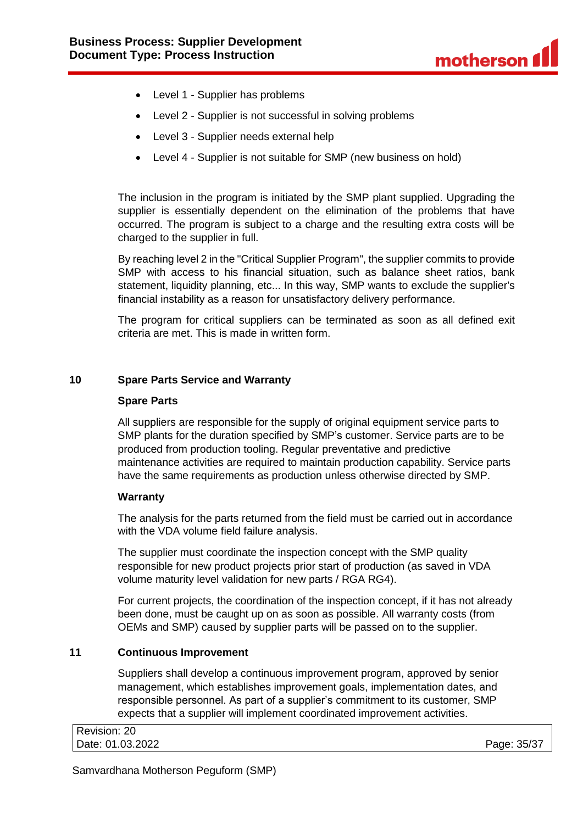

- Level 1 Supplier has problems
- Level 2 Supplier is not successful in solving problems
- Level 3 Supplier needs external help
- Level 4 Supplier is not suitable for SMP (new business on hold)

The inclusion in the program is initiated by the SMP plant supplied. Upgrading the supplier is essentially dependent on the elimination of the problems that have occurred. The program is subject to a charge and the resulting extra costs will be charged to the supplier in full.

By reaching level 2 in the "Critical Supplier Program", the supplier commits to provide SMP with access to his financial situation, such as balance sheet ratios, bank statement, liquidity planning, etc... In this way, SMP wants to exclude the supplier's financial instability as a reason for unsatisfactory delivery performance.

The program for critical suppliers can be terminated as soon as all defined exit criteria are met. This is made in written form.

### <span id="page-34-0"></span>**10 Spare Parts Service and Warranty**

#### **Spare Parts**

All suppliers are responsible for the supply of original equipment service parts to SMP plants for the duration specified by SMP's customer. Service parts are to be produced from production tooling. Regular preventative and predictive maintenance activities are required to maintain production capability. Service parts have the same requirements as production unless otherwise directed by SMP.

#### **Warranty**

The analysis for the parts returned from the field must be carried out in accordance with the VDA volume field failure analysis.

The supplier must coordinate the inspection concept with the SMP quality responsible for new product projects prior start of production (as saved in VDA volume maturity level validation for new parts / RGA RG4).

For current projects, the coordination of the inspection concept, if it has not already been done, must be caught up on as soon as possible. All warranty costs (from OEMs and SMP) caused by supplier parts will be passed on to the supplier.

### <span id="page-34-1"></span>**11 Continuous Improvement**

Suppliers shall develop a continuous improvement program, approved by senior management, which establishes improvement goals, implementation dates, and responsible personnel. As part of a supplier's commitment to its customer, SMP expects that a supplier will implement coordinated improvement activities.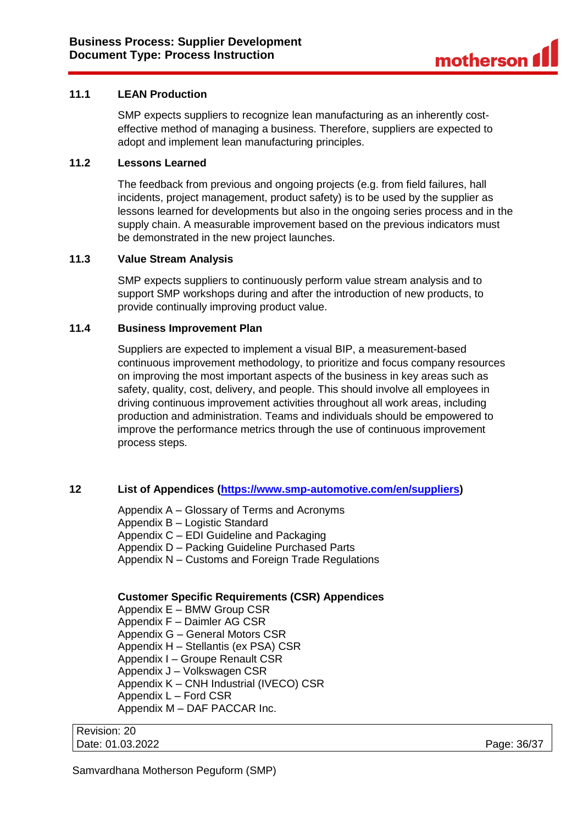### <span id="page-35-0"></span>**11.1 LEAN Production**

SMP expects suppliers to recognize lean manufacturing as an inherently costeffective method of managing a business. Therefore, suppliers are expected to adopt and implement lean manufacturing principles.

### <span id="page-35-1"></span>**11.2 Lessons Learned**

The feedback from previous and ongoing projects (e.g. from field failures, hall incidents, project management, product safety) is to be used by the supplier as lessons learned for developments but also in the ongoing series process and in the supply chain. A measurable improvement based on the previous indicators must be demonstrated in the new project launches.

#### <span id="page-35-2"></span>**11.3 Value Stream Analysis**

SMP expects suppliers to continuously perform value stream analysis and to support SMP workshops during and after the introduction of new products, to provide continually improving product value.

### <span id="page-35-3"></span>**11.4 Business Improvement Plan**

Suppliers are expected to implement a visual BIP, a measurement-based continuous improvement methodology, to prioritize and focus company resources on improving the most important aspects of the business in key areas such as safety, quality, cost, delivery, and people. This should involve all employees in driving continuous improvement activities throughout all work areas, including production and administration. Teams and individuals should be empowered to improve the performance metrics through the use of continuous improvement process steps.

### <span id="page-35-4"></span>**12 List of Appendices [\(https://www.smp-automotive.com/en/suppliers\)](https://www.smp-automotive.com/en/suppliers)**

Appendix A – Glossary of Terms and Acronyms Appendix B – Logistic Standard Appendix C – EDI Guideline and Packaging Appendix D – Packing Guideline Purchased Parts Appendix N – Customs and Foreign Trade Regulations

### **Customer Specific Requirements (CSR) Appendices**

Appendix E – BMW Group CSR Appendix F – Daimler AG CSR Appendix G – General Motors CSR Appendix H – Stellantis (ex PSA) CSR Appendix I – Groupe Renault CSR Appendix J – Volkswagen CSR Appendix K – CNH Industrial (IVECO) CSR Appendix L – Ford CSR Appendix M – DAF PACCAR Inc.

Revision: 20 Date: 01.03.2022 Page: 36/37

Samvardhana Motherson Peguform (SMP)